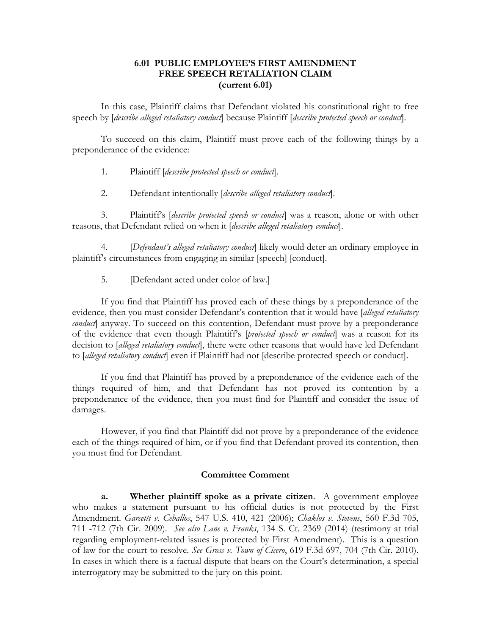## **6.01 PUBLIC EMPLOYEE'S FIRST AMENDMENT FREE SPEECH RETALIATION CLAIM (current 6.01)**

In this case, Plaintiff claims that Defendant violated his constitutional right to free speech by [*describe alleged retaliatory conduct*] because Plaintiff [*describe protected speech or conduct*].

To succeed on this claim, Plaintiff must prove each of the following things by a preponderance of the evidence:

- 1. Plaintiff [*describe protected speech or conduct*].
- 2. Defendant intentionally [*describe alleged retaliatory conduct*].

3. Plaintiff's [*describe protected speech or conduct*] was a reason, alone or with other reasons, that Defendant relied on when it [*describe alleged retaliatory conduct*].

4. *[Defendant's alleged retaliatory conduct*] likely would deter an ordinary employee in plaintiff's circumstances from engaging in similar [speech] [conduct].

5. [Defendant acted under color of law.]

If you find that Plaintiff has proved each of these things by a preponderance of the evidence, then you must consider Defendant's contention that it would have [*alleged retaliatory conduct*] anyway. To succeed on this contention, Defendant must prove by a preponderance of the evidence that even though Plaintiff's [*protected speech or conduct*] was a reason for its decision to [*alleged retaliatory conduct*], there were other reasons that would have led Defendant to [*alleged retaliatory conduct*] even if Plaintiff had not [describe protected speech or conduct].

If you find that Plaintiff has proved by a preponderance of the evidence each of the things required of him, and that Defendant has not proved its contention by a preponderance of the evidence, then you must find for Plaintiff and consider the issue of damages.

However, if you find that Plaintiff did not prove by a preponderance of the evidence each of the things required of him, or if you find that Defendant proved its contention, then you must find for Defendant.

#### **Committee Comment**

**a. Whether plaintiff spoke as a private citizen**. A government employee who makes a statement pursuant to his official duties is not protected by the First Amendment. *Garcetti v. Ceballos*, 547 U.S. 410, 421 (2006); *Chaklos v. Stevens*, 560 F.3d 705, 711 -712 (7th Cir. 2009). *See also Lane v. Franks*, 134 S. Ct. 2369 (2014) (testimony at trial regarding employment-related issues is protected by First Amendment). This is a question of law for the court to resolve. *See Gross v. Town of Cicero*, 619 F.3d 697, 704 (7th Cir. 2010). In cases in which there is a factual dispute that bears on the Court's determination, a special interrogatory may be submitted to the jury on this point.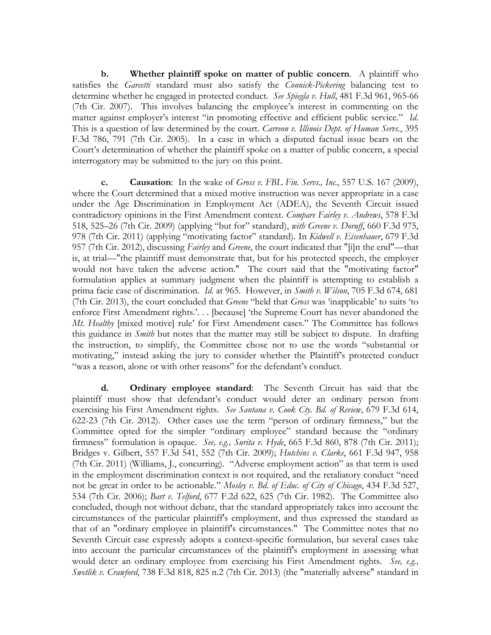**b. Whether plaintiff spoke on matter of public concern**. A plaintiff who satisfies the *Garcetti* standard must also satisfy the *Connick-Pickering* balancing test to determine whether he engaged in protected conduct. *See Spiegla v. Hull*, 481 F.3d 961, 965-66 (7th Cir. 2007). This involves balancing the employee's interest in commenting on the matter against employer's interest "in promoting effective and efficient public service." *Id*. This is a question of law determined by the court. *Carreon v. Illinois Dept. of Human Servs.*, 395 F.3d 786, 791 (7th Cir. 2005). In a case in which a disputed factual issue bears on the Court's determination of whether the plaintiff spoke on a matter of public concern, a special interrogatory may be submitted to the jury on this point.

**c. Causation**: In the wake of *Gross v. FBL Fin. Servs., Inc.*, 557 U.S. 167 (2009), where the Court determined that a mixed motive instruction was never appropriate in a case under the Age Discrimination in Employment Act (ADEA), the Seventh Circuit issued contradictory opinions in the First Amendment context. *Compare Fairley v. Andrews*, 578 F.3d 518, 525–26 (7th Cir. 2009) (applying "but for" standard), *with Greene v. Doruff*, 660 F.3d 975, 978 (7th Cir. 2011) (applying "motivating factor" standard). In *Kidwell v. Eisenhauer*, 679 F.3d 957 (7th Cir. 2012), discussing *Fairley* and *Greene*, the court indicated that "[i]n the end"—that is, at trial—"the plaintiff must demonstrate that, but for his protected speech, the employer would not have taken the adverse action." The court said that the "motivating factor" formulation applies at summary judgment when the plaintiff is attempting to establish a prima facie case of discrimination. *Id.* at 965. However, in *Smith v. Wilson*, 705 F.3d 674, 681 (7th Cir. 2013), the court concluded that *Greene* "held that *Gross* was 'inapplicable' to suits 'to enforce First Amendment rights.'... [because] 'the Supreme Court has never abandoned the *Mt. Healthy* [mixed motive] rule' for First Amendment cases." The Committee has follows this guidance in *Smith* but notes that the matter may still be subject to dispute. In drafting the instruction, to simplify, the Committee chose not to use the words "substantial or motivating," instead asking the jury to consider whether the Plaintiff's protected conduct "was a reason, alone or with other reasons" for the defendant's conduct.

**d. Ordinary employee standard**: The Seventh Circuit has said that the plaintiff must show that defendant's conduct would deter an ordinary person from exercising his First Amendment rights. *See Santana v. Cook Cty. Bd. of Review*, 679 F.3d 614, 622-23 (7th Cir. 2012). Other cases use the term "person of ordinary firmness," but the Committee opted for the simpler "ordinary employee" standard because the "ordinary firmness" formulation is opaque. *See, e.g., Surita v. Hyde*, 665 F.3d 860, 878 (7th Cir. 2011); Bridges v. Gilbert, 557 F.3d 541, 552 (7th Cir. 2009); *Hutchins v. Clarke*, 661 F.3d 947, 958 (7th Cir. 2011) (Williams, J., concurring). "Adverse employment action" as that term is used in the employment discrimination context is not required, and the retaliatory conduct "need not be great in order to be actionable." *Mosley v. Bd. of Educ. of City of Chicago*, 434 F.3d 527, 534 (7th Cir. 2006); *Bart v. Telford*, 677 F.2d 622, 625 (7th Cir. 1982). The Committee also concluded, though not without debate, that the standard appropriately takes into account the circumstances of the particular plaintiff's employment, and thus expressed the standard as that of an "ordinary employee in plaintiff's circumstances." The Committee notes that no Seventh Circuit case expressly adopts a context-specific formulation, but several cases take into account the particular circumstances of the plaintiff's employment in assessing what would deter an ordinary employee from exercising his First Amendment rights. *See, e.g., Swetlik v. Crawford*, 738 F.3d 818, 825 n.2 (7th Cir. 2013) (the "materially adverse" standard in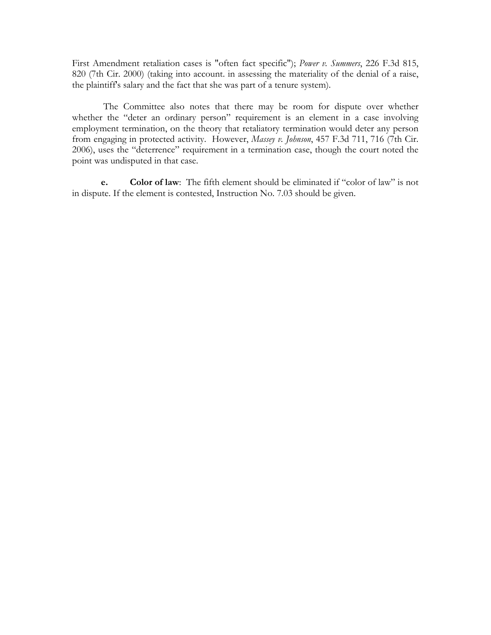First Amendment retaliation cases is "often fact specific"); *Power v. Summers*, 226 F.3d 815, 820 (7th Cir. 2000) (taking into account. in assessing the materiality of the denial of a raise, the plaintiff's salary and the fact that she was part of a tenure system).

The Committee also notes that there may be room for dispute over whether whether the "deter an ordinary person" requirement is an element in a case involving employment termination, on the theory that retaliatory termination would deter any person from engaging in protected activity. However, *Massey v. Johnson*, 457 F.3d 711, 716 (7th Cir. 2006), uses the "deterrence" requirement in a termination case, though the court noted the point was undisputed in that case.

**e. Color of law**: The fifth element should be eliminated if "color of law" is not in dispute. If the element is contested, Instruction No. 7.03 should be given.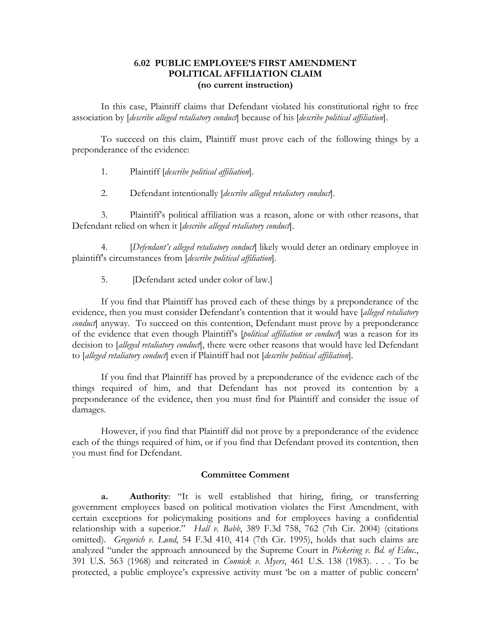### **6.02 PUBLIC EMPLOYEE'S FIRST AMENDMENT POLITICAL AFFILIATION CLAIM (no current instruction)**

In this case, Plaintiff claims that Defendant violated his constitutional right to free association by [*describe alleged retaliatory conduct*] because of his [*describe political affiliation*].

To succeed on this claim, Plaintiff must prove each of the following things by a preponderance of the evidence:

- 1. Plaintiff [*describe political affiliation*].
- 2. Defendant intentionally [*describe alleged retaliatory conduct*].

3. Plaintiff's political affiliation was a reason, alone or with other reasons, that Defendant relied on when it [*describe alleged retaliatory conduct*].

4. [*Defendant's alleged retaliatory conduct*] likely would deter an ordinary employee in plaintiff's circumstances from [*describe political affiliation*].

5. **IDefendant acted under color of law.**]

If you find that Plaintiff has proved each of these things by a preponderance of the evidence, then you must consider Defendant's contention that it would have [*alleged retaliatory conduct*] anyway. To succeed on this contention, Defendant must prove by a preponderance of the evidence that even though Plaintiff's [*political affiliation or conduct*] was a reason for its decision to [*alleged retaliatory conduct*], there were other reasons that would have led Defendant to [*alleged retaliatory conduct*] even if Plaintiff had not [*describe political affiliation*].

If you find that Plaintiff has proved by a preponderance of the evidence each of the things required of him, and that Defendant has not proved its contention by a preponderance of the evidence, then you must find for Plaintiff and consider the issue of damages.

However, if you find that Plaintiff did not prove by a preponderance of the evidence each of the things required of him, or if you find that Defendant proved its contention, then you must find for Defendant.

#### **Committee Comment**

**a. Authority**: "It is well established that hiring, firing, or transferring government employees based on political motivation violates the First Amendment, with certain exceptions for policymaking positions and for employees having a confidential relationship with a superior." *Hall v. Babb*, 389 F.3d 758, 762 (7th Cir. 2004) (citations omitted). *Gregorich v. Lund*, 54 F.3d 410, 414 (7th Cir. 1995), holds that such claims are analyzed "under the approach announced by the Supreme Court in *Pickering v. Bd. of Educ*., 391 U.S. 563 (1968) and reiterated in *Connick v. Myers*, 461 U.S. 138 (1983). . . . To be protected, a public employee's expressive activity must 'be on a matter of public concern'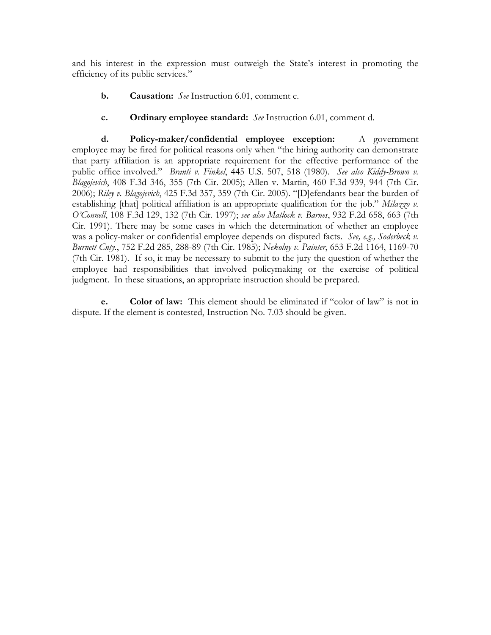and his interest in the expression must outweigh the State's interest in promoting the efficiency of its public services."

- **b. Causation:** *See* Instruction 6.01, comment c.
- **c. Ordinary employee standard:** *See* Instruction 6.01, comment d.

**d. Policy-maker/confidential employee exception:** A government employee may be fired for political reasons only when "the hiring authority can demonstrate that party affiliation is an appropriate requirement for the effective performance of the public office involved." *Branti v. Finkel*, 445 U.S. 507, 518 (1980). *See also Kiddy-Brown v. Blagojevich*, 408 F.3d 346, 355 (7th Cir. 2005); Allen v. Martin, 460 F.3d 939, 944 (7th Cir. 2006); *Riley v. Blagojevich*, 425 F.3d 357, 359 (7th Cir. 2005). "[D]efendants bear the burden of establishing [that] political affiliation is an appropriate qualification for the job." *Milazzo v. O'Connell*, 108 F.3d 129, 132 (7th Cir. 1997); *see also Matlock v. Barnes*, 932 F.2d 658, 663 (7th Cir. 1991). There may be some cases in which the determination of whether an employee was a policy-maker or confidential employee depends on disputed facts. *See, e.g., Soderbeck v. Burnett Cnty.*, 752 F.2d 285, 288-89 (7th Cir. 1985); *Nekolny v. Painter*, 653 F.2d 1164, 1169-70 (7th Cir. 1981). If so, it may be necessary to submit to the jury the question of whether the employee had responsibilities that involved policymaking or the exercise of political judgment. In these situations, an appropriate instruction should be prepared.

**e. Color of law:** This element should be eliminated if "color of law" is not in dispute. If the element is contested, Instruction No. 7.03 should be given.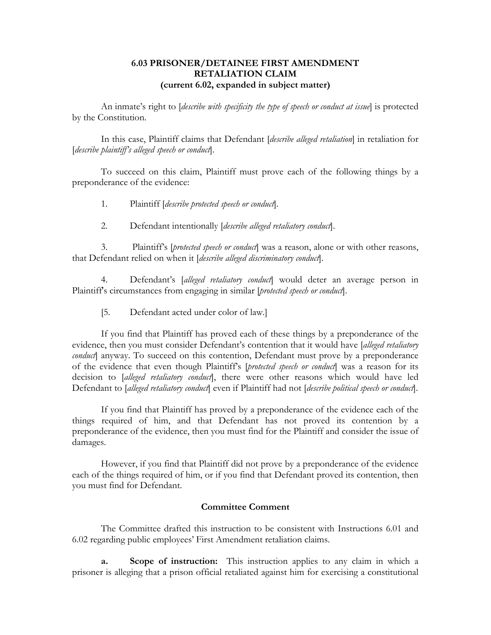## **6.03 PRISONER/DETAINEE FIRST AMENDMENT RETALIATION CLAIM (current 6.02, expanded in subject matter)**

An inmate's right to [*describe with specificity the type of speech or conduct at issue*] is protected by the Constitution.

In this case, Plaintiff claims that Defendant [*describe alleged retaliation*] in retaliation for [*describe plaintiff's alleged speech or conduct*].

To succeed on this claim, Plaintiff must prove each of the following things by a preponderance of the evidence:

- 1. Plaintiff [*describe protected speech or conduct*].
- 2. Defendant intentionally [*describe alleged retaliatory conduct*].

3. Plaintiff's [*protected speech or conduct*] was a reason, alone or with other reasons, that Defendant relied on when it [*describe alleged discriminatory conduct*].

4. Defendant's [*alleged retaliatory conduct*] would deter an average person in Plaintiff's circumstances from engaging in similar [*protected speech or conduct*].

[5. Defendant acted under color of law.]

If you find that Plaintiff has proved each of these things by a preponderance of the evidence, then you must consider Defendant's contention that it would have [*alleged retaliatory conduct*] anyway. To succeed on this contention, Defendant must prove by a preponderance of the evidence that even though Plaintiff's [*protected speech or conduct*] was a reason for its decision to [*alleged retaliatory conduct*], there were other reasons which would have led Defendant to [*alleged retaliatory conduct*] even if Plaintiff had not [*describe political speech or conduct*].

If you find that Plaintiff has proved by a preponderance of the evidence each of the things required of him, and that Defendant has not proved its contention by a preponderance of the evidence, then you must find for the Plaintiff and consider the issue of damages.

However, if you find that Plaintiff did not prove by a preponderance of the evidence each of the things required of him, or if you find that Defendant proved its contention, then you must find for Defendant.

#### **Committee Comment**

The Committee drafted this instruction to be consistent with Instructions 6.01 and 6.02 regarding public employees' First Amendment retaliation claims.

**a. Scope of instruction:** This instruction applies to any claim in which a prisoner is alleging that a prison official retaliated against him for exercising a constitutional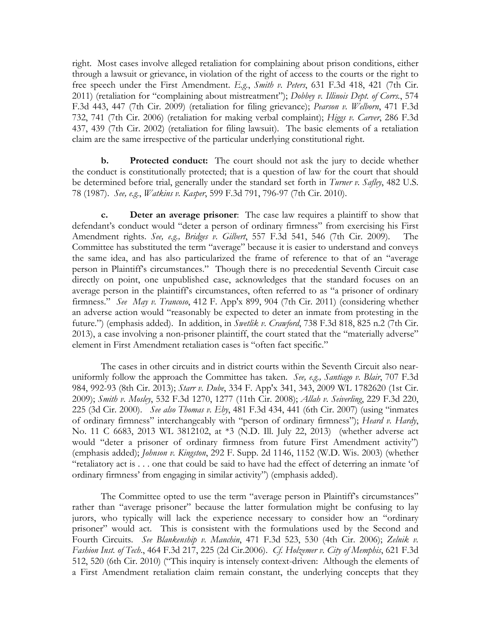right. Most cases involve alleged retaliation for complaining about prison conditions, either through a lawsuit or grievance, in violation of the right of access to the courts or the right to free speech under the First Amendment. *E.g.*, *Smith v. Peters*, 631 F.3d 418, 421 (7th Cir. 2011) (retaliation for "complaining about mistreatment"); *Dobbey v. Illinois Dept. of Corrs.*, 574 F.3d 443, 447 (7th Cir. 2009) (retaliation for filing grievance); *Pearson v. Welborn*, 471 F.3d 732, 741 (7th Cir. 2006) (retaliation for making verbal complaint); *Higgs v. Carver*, 286 F.3d 437, 439 (7th Cir. 2002) (retaliation for filing lawsuit). The basic elements of a retaliation claim are the same irrespective of the particular underlying constitutional right.

**b. Protected conduct:** The court should not ask the jury to decide whether the conduct is constitutionally protected; that is a question of law for the court that should be determined before trial, generally under the standard set forth in *Turner v. Safley*, 482 U.S. 78 (1987). *See, e.g.*, *Watkins v. Kasper*, 599 F.3d 791, 796-97 (7th Cir. 2010).

**c. Deter an average prisoner**: The case law requires a plaintiff to show that defendant's conduct would "deter a person of ordinary firmness" from exercising his First Amendment rights. *See, e.g., Bridges v. Gilbert*, 557 F.3d 541, 546 (7th Cir. 2009). The Committee has substituted the term "average" because it is easier to understand and conveys the same idea, and has also particularized the frame of reference to that of an "average person in Plaintiff's circumstances." Though there is no precedential Seventh Circuit case directly on point, one unpublished case, acknowledges that the standard focuses on an average person in the plaintiff's circumstances, often referred to as "a prisoner of ordinary firmness." *See May v. Trancoso*, 412 F. App'x 899, 904 (7th Cir. 2011) (considering whether an adverse action would "reasonably be expected to deter an inmate from protesting in the future.") (emphasis added). In addition, in *Swetlik v. Crawford*, 738 F.3d 818, 825 n.2 (7th Cir. 2013), a case involving a non-prisoner plaintiff, the court stated that the "materially adverse" element in First Amendment retaliation cases is "often fact specific."

The cases in other circuits and in district courts within the Seventh Circuit also nearuniformly follow the approach the Committee has taken. *See, e.g., Santiago v. Blair*, 707 F.3d 984, 992-93 (8th Cir. 2013); *Starr v. Dube*, 334 F. App'x 341, 343, 2009 WL 1782620 (1st Cir. 2009); *Smith v. Mosley*, 532 F.3d 1270, 1277 (11th Cir. 2008); *Allah v. Seiverling*, 229 F.3d 220, 225 (3d Cir. 2000). *See also Thomas v. Eby*, 481 F.3d 434, 441 (6th Cir. 2007) (using "inmates of ordinary firmness" interchangeably with "person of ordinary firmness"); *Heard v. Hardy*, No. 11 C 6683, 2013 WL 3812102, at \*3 (N.D. Ill. July 22, 2013) (whether adverse act would "deter a prisoner of ordinary firmness from future First Amendment activity") (emphasis added); *Johnson v. Kingston*, 292 F. Supp. 2d 1146, 1152 (W.D. Wis. 2003) (whether "retaliatory act is . . . one that could be said to have had the effect of deterring an inmate 'of ordinary firmness' from engaging in similar activity") (emphasis added).

The Committee opted to use the term "average person in Plaintiff's circumstances" rather than "average prisoner" because the latter formulation might be confusing to lay jurors, who typically will lack the experience necessary to consider how an "ordinary prisoner" would act. This is consistent with the formulations used by the Second and Fourth Circuits. *See Blankenship v. Manchin*, 471 F.3d 523, 530 (4th Cir. 2006); *Zelnik v. Fashion Inst. of Tech*., 464 F.3d 217, 225 (2d Cir.2006). *Cf. Holzemer v. City of Memphis*, 621 F.3d 512, 520 (6th Cir. 2010) ("This inquiry is intensely context-driven: Although the elements of a First Amendment retaliation claim remain constant, the underlying concepts that they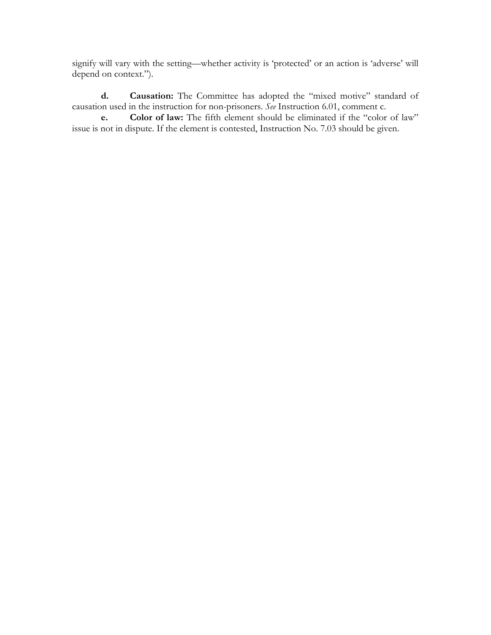signify will vary with the setting—whether activity is 'protected' or an action is 'adverse' will depend on context.").

**d. Causation:** The Committee has adopted the "mixed motive" standard of causation used in the instruction for non-prisoners. *See* Instruction 6.01, comment c.

**e. Color of law:** The fifth element should be eliminated if the "color of law" issue is not in dispute. If the element is contested, Instruction No. 7.03 should be given.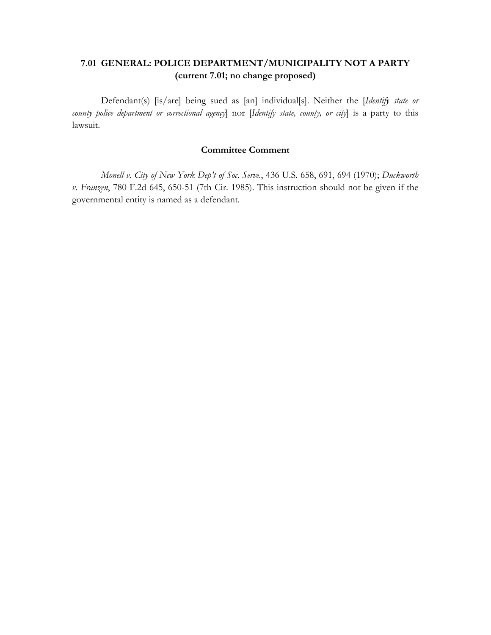# **7.01 GENERAL: POLICE DEPARTMENT/MUNICIPALITY NOT A PARTY (current 7.01; no change proposed)**

Defendant(s) [is/are] being sued as [an] individual[s]. Neither the [*Identify state or county police department or correctional agency*] nor [*Identify state, county, or city*] is a party to this lawsuit.

## **Committee Comment**

*Monell v. City of New York Dep't of Soc. Serve.*, 436 U.S. 658, 691, 694 (1970); *Duckworth v. Franzen*, 780 F.2d 645, 650-51 (7th Cir. 1985). This instruction should not be given if the governmental entity is named as a defendant.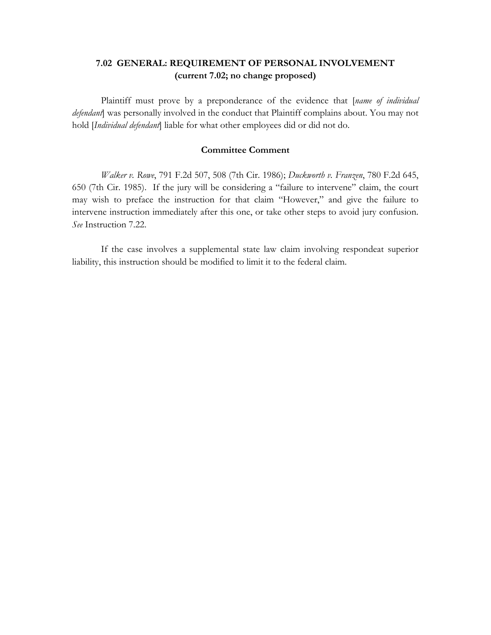# **7.02 GENERAL: REQUIREMENT OF PERSONAL INVOLVEMENT (current 7.02; no change proposed)**

Plaintiff must prove by a preponderance of the evidence that [*name of individual defendant*] was personally involved in the conduct that Plaintiff complains about. You may not hold [*Individual defendant*] liable for what other employees did or did not do.

#### **Committee Comment**

*Walker v. Rowe*, 791 F.2d 507, 508 (7th Cir. 1986); *Duckworth v. Franzen*, 780 F.2d 645, 650 (7th Cir. 1985). If the jury will be considering a "failure to intervene" claim, the court may wish to preface the instruction for that claim "However," and give the failure to intervene instruction immediately after this one, or take other steps to avoid jury confusion. *See* Instruction 7.22.

If the case involves a supplemental state law claim involving respondeat superior liability, this instruction should be modified to limit it to the federal claim.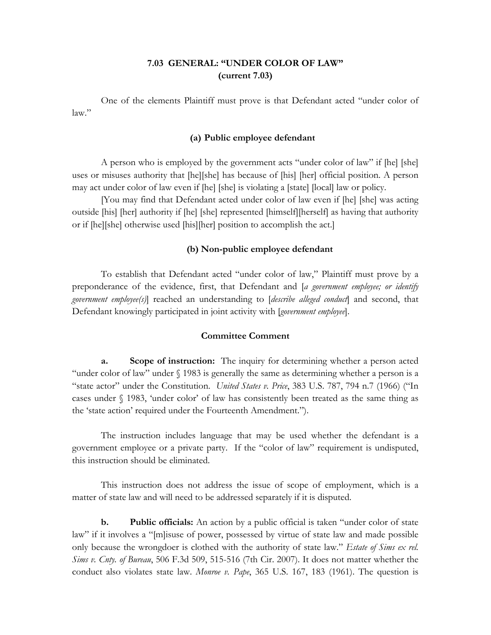# **7.03 GENERAL: "UNDER COLOR OF LAW" (current 7.03)**

One of the elements Plaintiff must prove is that Defendant acted "under color of law."

#### **(a) Public employee defendant**

A person who is employed by the government acts "under color of law" if [he] [she] uses or misuses authority that [he][she] has because of [his] [her] official position. A person may act under color of law even if [he] [she] is violating a [state] [local] law or policy.

[You may find that Defendant acted under color of law even if [he] [she] was acting outside [his] [her] authority if [he] [she] represented [himself][herself] as having that authority or if [he][she] otherwise used [his][her] position to accomplish the act.]

#### **(b) Non-public employee defendant**

To establish that Defendant acted "under color of law," Plaintiff must prove by a preponderance of the evidence, first, that Defendant and [*a government employee; or identify government employee(s)*] reached an understanding to [*describe alleged conduct*] and second, that Defendant knowingly participated in joint activity with [*government employee*].

#### **Committee Comment**

**a. Scope of instruction:** The inquiry for determining whether a person acted "under color of law" under § 1983 is generally the same as determining whether a person is a "state actor" under the Constitution. *United States v. Price*, 383 U.S. 787, 794 n.7 (1966) ("In cases under § 1983, 'under color' of law has consistently been treated as the same thing as the 'state action' required under the Fourteenth Amendment.").

The instruction includes language that may be used whether the defendant is a government employee or a private party. If the "color of law" requirement is undisputed, this instruction should be eliminated.

This instruction does not address the issue of scope of employment, which is a matter of state law and will need to be addressed separately if it is disputed.

**b. Public officials:** An action by a public official is taken "under color of state law" if it involves a "[m]isuse of power, possessed by virtue of state law and made possible only because the wrongdoer is clothed with the authority of state law." *Estate of Sims ex rel. Sims v. Cnty. of Bureau*, 506 F.3d 509, 515-516 (7th Cir. 2007). It does not matter whether the conduct also violates state law. *Monroe v. Pape*, 365 U.S. 167, 183 (1961). The question is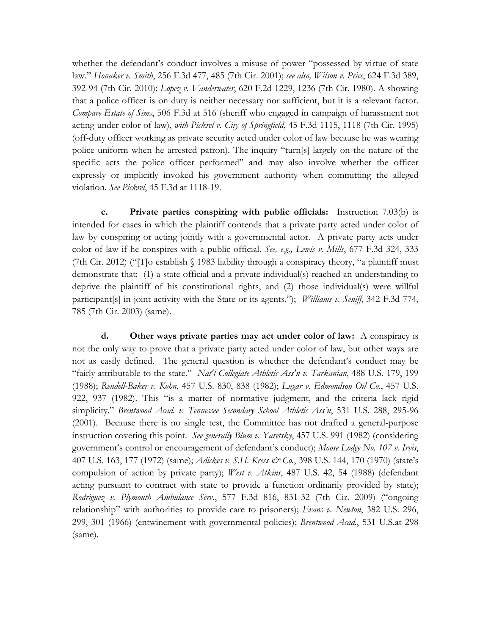whether the defendant's conduct involves a misuse of power "possessed by virtue of state law." *Honaker v. Smith*, 256 F.3d 477, 485 (7th Cir. 2001); *see also, Wilson v. Price*, 624 F.3d 389, 392-94 (7th Cir. 2010); *Lopez v. Vanderwater*, 620 F.2d 1229, 1236 (7th Cir. 1980). A showing that a police officer is on duty is neither necessary nor sufficient, but it is a relevant factor. *Compare Estate of Sims*, 506 F.3d at 516 (sheriff who engaged in campaign of harassment not acting under color of law), *with Pickrel v. City of Springfield*, 45 F.3d 1115, 1118 (7th Cir. 1995) (off-duty officer working as private security acted under color of law because he was wearing police uniform when he arrested patron). The inquiry "turn[s] largely on the nature of the specific acts the police officer performed" and may also involve whether the officer expressly or implicitly invoked his government authority when committing the alleged violation. *See Pickrel*, 45 F.3d at 1118-19.

**c. Private parties conspiring with public officials:** Instruction 7.03(b) is intended for cases in which the plaintiff contends that a private party acted under color of law by conspiring or acting jointly with a governmental actor. A private party acts under color of law if he conspires with a public official. *See, e.g., Lewis v. Mills*, 677 F.3d 324, 333 (7th Cir. 2012) ("The establish  $\S$  1983 liability through a conspiracy theory, "a plaintiff must demonstrate that: (1) a state official and a private individual(s) reached an understanding to deprive the plaintiff of his constitutional rights, and (2) those individual(s) were willful participant[s] in joint activity with the State or its agents."); *Williams v. Seniff*, 342 F.3d 774, 785 (7th Cir. 2003) (same).

**d. Other ways private parties may act under color of law:** A conspiracy is not the only way to prove that a private party acted under color of law, but other ways are not as easily defined. The general question is whether the defendant's conduct may be "fairly attributable to the state." *Nat'l Collegiate Athletic Ass'n v. Tarkanian*, 488 U.S. 179, 199 (1988); *Rendell-Baker v. Kohn*, 457 U.S. 830, 838 (1982); *Lugar v. Edmondson Oil Co.*, 457 U.S. 922, 937 (1982). This "is a matter of normative judgment, and the criteria lack rigid simplicity." *Brentwood Acad. v. Tennessee Secondary School Athletic Ass'n*, 531 U.S. 288, 295-96 (2001). Because there is no single test, the Committee has not drafted a general-purpose instruction covering this point. *See generally Blum v. Yaretsky*, 457 U.S. 991 (1982) (considering government's control or encouragement of defendant's conduct); *Moose Lodge No. 107 v. Irvis*, 407 U.S. 163, 177 (1972) (same); *Adickes v. S.H. Kress & Co.*, 398 U.S. 144, 170 (1970) (state's compulsion of action by private party); *West v. Atkins*, 487 U.S. 42, 54 (1988) (defendant acting pursuant to contract with state to provide a function ordinarily provided by state); *Rodriguez v. Plymouth Ambulance Serv.*, 577 F.3d 816, 831-32 (7th Cir. 2009) ("ongoing relationship" with authorities to provide care to prisoners); *Evans v. Newton*, 382 U.S. 296, 299, 301 (1966) (entwinement with governmental policies); *Brentwood Acad.*, 531 U.S.at 298 (same).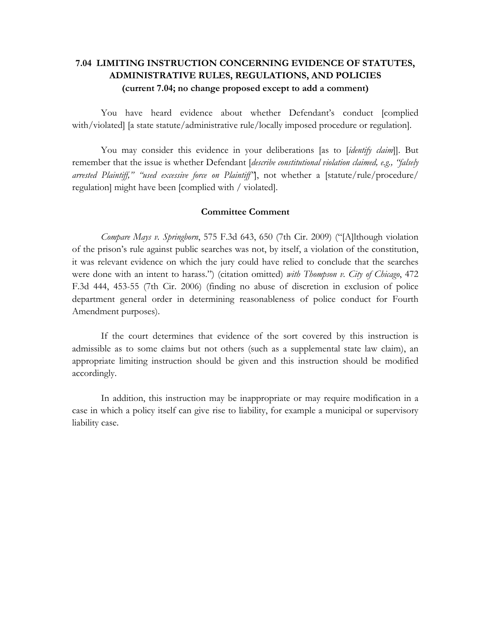# **7.04 LIMITING INSTRUCTION CONCERNING EVIDENCE OF STATUTES, ADMINISTRATIVE RULES, REGULATIONS, AND POLICIES (current 7.04; no change proposed except to add a comment)**

You have heard evidence about whether Defendant's conduct [complied with/violated] [a state statute/administrative rule/locally imposed procedure or regulation].

You may consider this evidence in your deliberations [as to *[identify claim*]]. But remember that the issue is whether Defendant [*describe constitutional violation claimed, e.g., "falsely arrested Plaintiff," "used excessive force on Plaintiff"*], not whether a [statute/rule/procedure/ regulation] might have been [complied with / violated].

#### **Committee Comment**

*Compare Mays v. Springborn*, 575 F.3d 643, 650 (7th Cir. 2009) ("[A]lthough violation of the prison's rule against public searches was not, by itself, a violation of the constitution, it was relevant evidence on which the jury could have relied to conclude that the searches were done with an intent to harass.") (citation omitted) *with Thompson v. City of Chicago*, 472 F.3d 444, 453-55 (7th Cir. 2006) (finding no abuse of discretion in exclusion of police department general order in determining reasonableness of police conduct for Fourth Amendment purposes).

If the court determines that evidence of the sort covered by this instruction is admissible as to some claims but not others (such as a supplemental state law claim), an appropriate limiting instruction should be given and this instruction should be modified accordingly.

In addition, this instruction may be inappropriate or may require modification in a case in which a policy itself can give rise to liability, for example a municipal or supervisory liability case.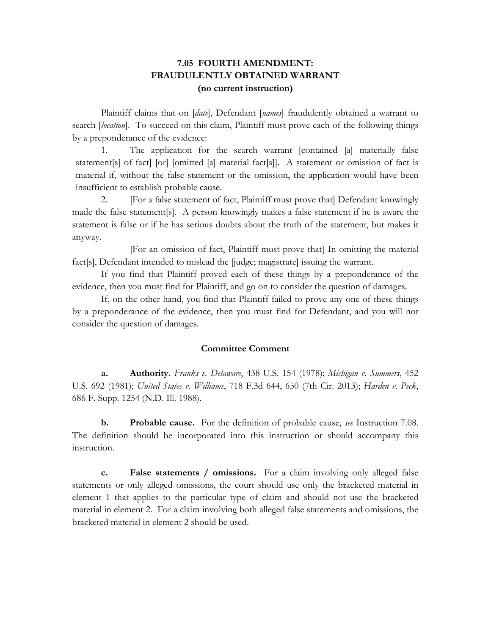# **7.05 FOURTH AMENDMENT: FRAUDULENTLY OBTAINED WARRANT (no current instruction)**

Plaintiff claims that on [*date*], Defendant [*names*] fraudulently obtained a warrant to search [*location*]. To succeed on this claim, Plaintiff must prove each of the following things by a preponderance of the evidence:

1. The application for the search warrant [contained [a] materially false statement[s] of fact] [or] [omitted [a] material fact[s]]. A statement or omission of fact is material if, without the false statement or the omission, the application would have been insufficient to establish probable cause.

2. [For a false statement of fact, Plaintiff must prove that] Defendant knowingly made the false statement[s]. A person knowingly makes a false statement if he is aware the statement is false or if he has serious doubts about the truth of the statement, but makes it anyway.

[For an omission of fact, Plaintiff must prove that] In omitting the material fact[s], Defendant intended to mislead the [judge; magistrate] issuing the warrant.

If you find that Plaintiff proved each of these things by a preponderance of the evidence, then you must find for Plaintiff, and go on to consider the question of damages.

If, on the other hand, you find that Plaintiff failed to prove any one of these things by a preponderance of the evidence, then you must find for Defendant, and you will not consider the question of damages.

## **Committee Comment**

**a. Authority.** *Franks v. Delaware*, 438 U.S. 154 (1978); *Michigan v. Summers*, 452 U.S. 692 (1981); *United States v. Williams*, 718 F.3d 644, 650 (7th Cir. 2013); *Harden v. Peck*, 686 F. Supp. 1254 (N.D. Ill. 1988).

**b. Probable cause.** For the definition of probable cause, *see* Instruction 7.08. The definition should be incorporated into this instruction or should accompany this instruction.

**c. False statements / omissions.** For a claim involving only alleged false statements or only alleged omissions, the court should use only the bracketed material in element 1 that applies to the particular type of claim and should not use the bracketed material in element 2. For a claim involving both alleged false statements and omissions, the bracketed material in element 2 should be used.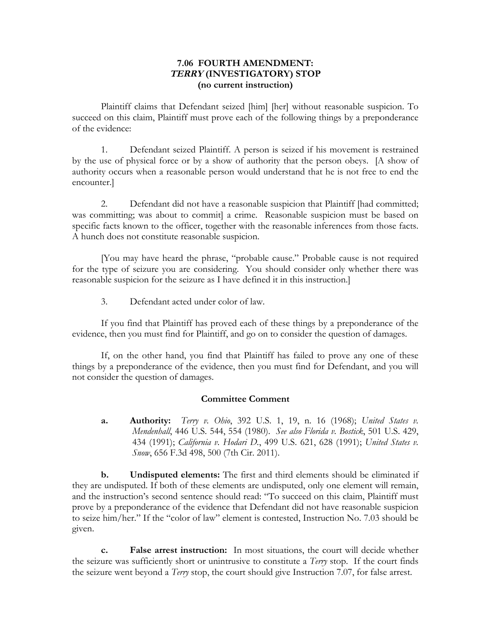## **7.06 FOURTH AMENDMENT: TERRY (INVESTIGATORY) STOP (no current instruction)**

Plaintiff claims that Defendant seized [him] [her] without reasonable suspicion. To succeed on this claim, Plaintiff must prove each of the following things by a preponderance of the evidence:

1. Defendant seized Plaintiff. A person is seized if his movement is restrained by the use of physical force or by a show of authority that the person obeys. [A show of authority occurs when a reasonable person would understand that he is not free to end the encounter.]

2. Defendant did not have a reasonable suspicion that Plaintiff [had committed; was committing; was about to commit] a crime. Reasonable suspicion must be based on specific facts known to the officer, together with the reasonable inferences from those facts. A hunch does not constitute reasonable suspicion.

[You may have heard the phrase, "probable cause." Probable cause is not required for the type of seizure you are considering. You should consider only whether there was reasonable suspicion for the seizure as I have defined it in this instruction.]

3. Defendant acted under color of law.

If you find that Plaintiff has proved each of these things by a preponderance of the evidence, then you must find for Plaintiff, and go on to consider the question of damages.

If, on the other hand, you find that Plaintiff has failed to prove any one of these things by a preponderance of the evidence, then you must find for Defendant, and you will not consider the question of damages.

#### **Committee Comment**

**a. Authority:** *Terry v. Ohio*, 392 U.S. 1, 19, n. 16 (1968); *United States v. Mendenhall*, 446 U.S. 544, 554 (1980). *See also Florida v. Bostick*, 501 U.S. 429, 434 (1991); *California v. Hodari D.*, 499 U.S. 621, 628 (1991); *United States v. Snow*, 656 F.3d 498, 500 (7th Cir. 2011).

**b. Undisputed elements:** The first and third elements should be eliminated if they are undisputed. If both of these elements are undisputed, only one element will remain, and the instruction's second sentence should read: "To succeed on this claim, Plaintiff must prove by a preponderance of the evidence that Defendant did not have reasonable suspicion to seize him/her." If the "color of law" element is contested, Instruction No. 7.03 should be given.

**c. False arrest instruction:** In most situations, the court will decide whether the seizure was sufficiently short or unintrusive to constitute a *Terry* stop. If the court finds the seizure went beyond a *Terry* stop, the court should give Instruction 7.07, for false arrest.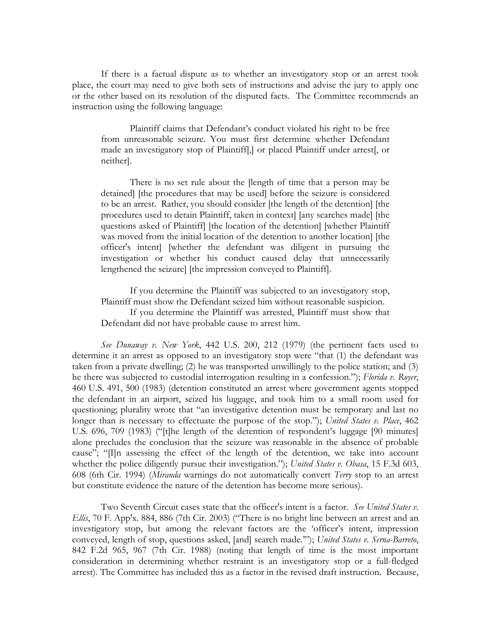If there is a factual dispute as to whether an investigatory stop or an arrest took place, the court may need to give both sets of instructions and advise the jury to apply one or the other based on its resolution of the disputed facts. The Committee recommends an instruction using the following language:

Plaintiff claims that Defendant's conduct violated his right to be free from unreasonable seizure. You must first determine whether Defendant made an investigatory stop of Plaintiff[,] or placed Plaintiff under arrest[, or neither].

There is no set rule about the [length of time that a person may be detained] [the procedures that may be used] before the seizure is considered to be an arrest. Rather, you should consider [the length of the detention] [the procedures used to detain Plaintiff, taken in context] [any searches made] [the questions asked of Plaintiff] [the location of the detention] [whether Plaintiff was moved from the initial location of the detention to another location] [the officer's intent] [whether the defendant was diligent in pursuing the investigation or whether his conduct caused delay that unnecessarily lengthened the seizure] [the impression conveyed to Plaintiff].

If you determine the Plaintiff was subjected to an investigatory stop, Plaintiff must show the Defendant seized him without reasonable suspicion. If you determine the Plaintiff was arrested, Plaintiff must show that Defendant did not have probable cause to arrest him.

*See Dunaway v. New York*, 442 U.S. 200, 212 (1979) (the pertinent facts used to determine it an arrest as opposed to an investigatory stop were "that (1) the defendant was taken from a private dwelling; (2) he was transported unwillingly to the police station; and (3) he there was subjected to custodial interrogation resulting in a confession."); *Florida v. Royer*, 460 U.S. 491, 500 (1983) (detention constituted an arrest where government agents stopped the defendant in an airport, seized his luggage, and took him to a small room used for questioning; plurality wrote that "an investigative detention must be temporary and last no longer than is necessary to effectuate the purpose of the stop."); *United States v. Place*, 462 U.S. 696, 709 (1983) ("[t]he length of the detention of respondent's luggage [90 minutes] alone precludes the conclusion that the seizure was reasonable in the absence of probable cause"; "[I]n assessing the effect of the length of the detention, we take into account whether the police diligently pursue their investigation."); *United States v. Obasa*, 15 F.3d 603, 608 (6th Cir. 1994) (*Miranda* warnings do not automatically convert *Terry* stop to an arrest but constitute evidence the nature of the detention has become more serious).

Two Seventh Circuit cases state that the officer's intent is a factor. *See United States v. Ellis*, 70 F. App'x. 884, 886 (7th Cir. 2003) ("There is no bright line between an arrest and an investigatory stop, but among the relevant factors are the 'officer's intent, impression conveyed, length of stop, questions asked, [and] search made.'"); *United States v. Serna-Barreto*, 842 F.2d 965, 967 (7th Cir. 1988) (noting that length of time is the most important consideration in determining whether restraint is an investigatory stop or a full-fledged arrest). The Committee has included this as a factor in the revised draft instruction. Because,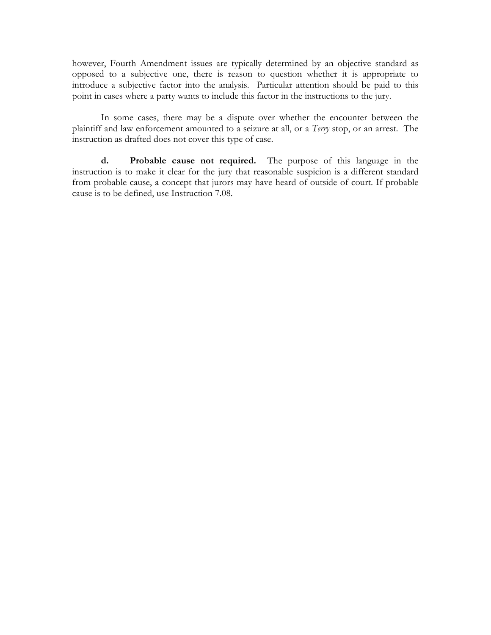however, Fourth Amendment issues are typically determined by an objective standard as opposed to a subjective one, there is reason to question whether it is appropriate to introduce a subjective factor into the analysis. Particular attention should be paid to this point in cases where a party wants to include this factor in the instructions to the jury.

In some cases, there may be a dispute over whether the encounter between the plaintiff and law enforcement amounted to a seizure at all, or a *Terry* stop, or an arrest. The instruction as drafted does not cover this type of case.

**d. Probable cause not required.** The purpose of this language in the instruction is to make it clear for the jury that reasonable suspicion is a different standard from probable cause, a concept that jurors may have heard of outside of court. If probable cause is to be defined, use Instruction 7.08.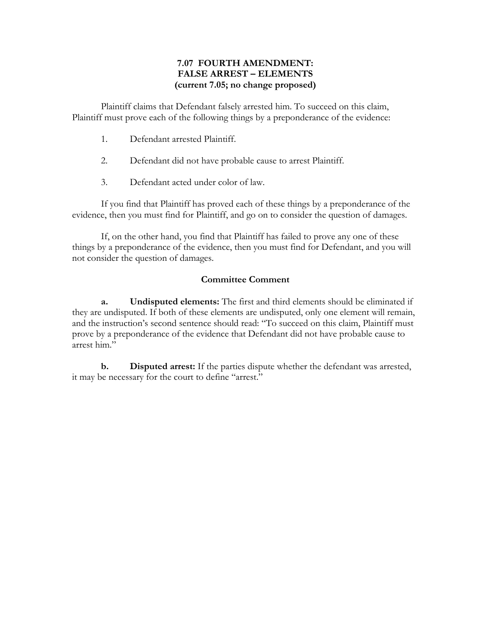## **7.07 FOURTH AMENDMENT: FALSE ARREST – ELEMENTS (current 7.05; no change proposed)**

Plaintiff claims that Defendant falsely arrested him. To succeed on this claim, Plaintiff must prove each of the following things by a preponderance of the evidence:

- 1. Defendant arrested Plaintiff.
- 2. Defendant did not have probable cause to arrest Plaintiff.
- 3. Defendant acted under color of law.

If you find that Plaintiff has proved each of these things by a preponderance of the evidence, then you must find for Plaintiff, and go on to consider the question of damages.

If, on the other hand, you find that Plaintiff has failed to prove any one of these things by a preponderance of the evidence, then you must find for Defendant, and you will not consider the question of damages.

## **Committee Comment**

**a. Undisputed elements:** The first and third elements should be eliminated if they are undisputed. If both of these elements are undisputed, only one element will remain, and the instruction's second sentence should read: "To succeed on this claim, Plaintiff must prove by a preponderance of the evidence that Defendant did not have probable cause to arrest him."

**b. Disputed arrest:** If the parties dispute whether the defendant was arrested, it may be necessary for the court to define "arrest."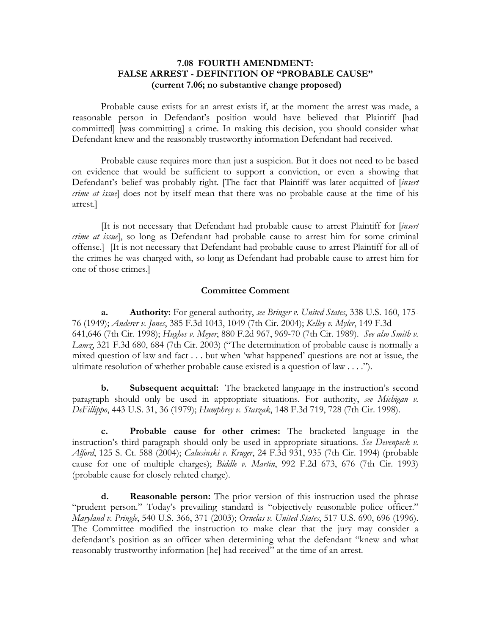## **7.08 FOURTH AMENDMENT: FALSE ARREST - DEFINITION OF "PROBABLE CAUSE" (current 7.06; no substantive change proposed)**

Probable cause exists for an arrest exists if, at the moment the arrest was made, a reasonable person in Defendant's position would have believed that Plaintiff [had committed] [was committing] a crime. In making this decision, you should consider what Defendant knew and the reasonably trustworthy information Defendant had received.

Probable cause requires more than just a suspicion. But it does not need to be based on evidence that would be sufficient to support a conviction, or even a showing that Defendant's belief was probably right. [The fact that Plaintiff was later acquitted of [*insert crime at issue*] does not by itself mean that there was no probable cause at the time of his arrest.]

[It is not necessary that Defendant had probable cause to arrest Plaintiff for [*insert crime at issue*], so long as Defendant had probable cause to arrest him for some criminal offense.] [It is not necessary that Defendant had probable cause to arrest Plaintiff for all of the crimes he was charged with, so long as Defendant had probable cause to arrest him for one of those crimes.]

#### **Committee Comment**

**a. Authority:** For general authority, *see Bringer v. United States*, 338 U.S. 160, 175- 76 (1949); *Anderer v. Jones*, 385 F.3d 1043, 1049 (7th Cir. 2004); *Kelley v. Myler*, 149 F.3d 641,646 (7th Cir. 1998); *Hughes v. Meyer*, 880 F.2d 967, 969-70 (7th Cir. 1989). *See also Smith v. Lamz*, 321 F.3d 680, 684 (7th Cir. 2003) ("The determination of probable cause is normally a mixed question of law and fact . . . but when 'what happened' questions are not at issue, the ultimate resolution of whether probable cause existed is a question of law . . . .").

**b. Subsequent acquittal:** The bracketed language in the instruction's second paragraph should only be used in appropriate situations. For authority, *see Michigan v. DeFillippo*, 443 U.S. 31, 36 (1979); *Humphrey v. Staszak*, 148 F.3d 719, 728 (7th Cir. 1998).

**c. Probable cause for other crimes:** The bracketed language in the instruction's third paragraph should only be used in appropriate situations. *See Devenpeck v. Alford*, 125 S. Ct. 588 (2004); *Calusinski v. Kruger*, 24 F.3d 931, 935 (7th Cir. 1994) (probable cause for one of multiple charges); *Biddle v. Martin*, 992 F.2d 673, 676 (7th Cir. 1993) (probable cause for closely related charge).

**d. Reasonable person:** The prior version of this instruction used the phrase "prudent person." Today's prevailing standard is "objectively reasonable police officer." *Maryland v. Pringle*, 540 U.S. 366, 371 (2003); *Ornelas v. United States*, 517 U.S. 690, 696 (1996). The Committee modified the instruction to make clear that the jury may consider a defendant's position as an officer when determining what the defendant "knew and what reasonably trustworthy information [he] had received" at the time of an arrest.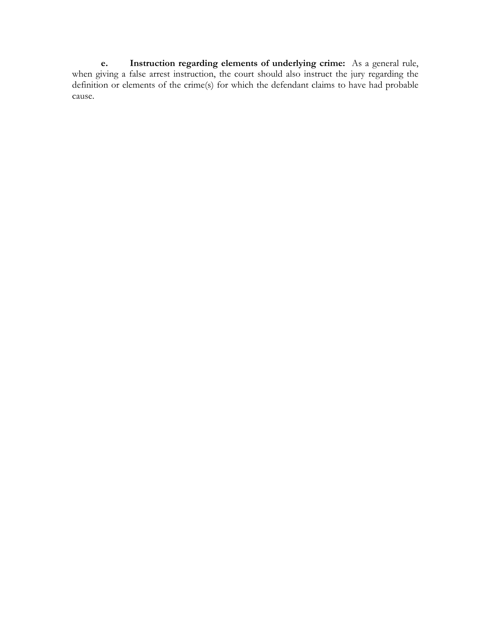**e. Instruction regarding elements of underlying crime:** As a general rule, when giving a false arrest instruction, the court should also instruct the jury regarding the definition or elements of the crime(s) for which the defendant claims to have had probable cause.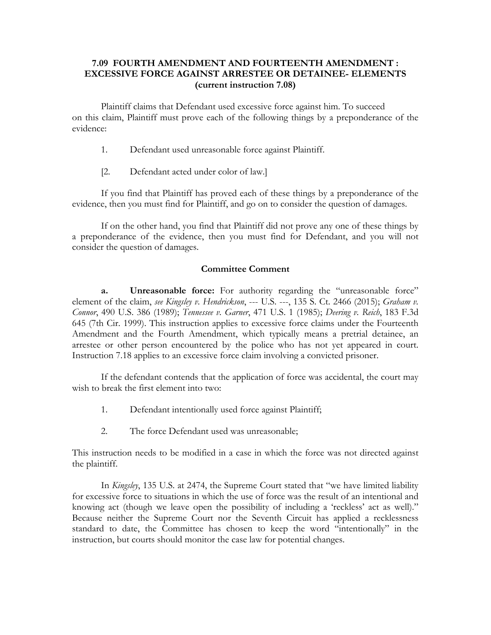## **7.09 FOURTH AMENDMENT AND FOURTEENTH AMENDMENT : EXCESSIVE FORCE AGAINST ARRESTEE OR DETAINEE- ELEMENTS (current instruction 7.08)**

Plaintiff claims that Defendant used excessive force against him. To succeed on this claim, Plaintiff must prove each of the following things by a preponderance of the evidence:

- 1. Defendant used unreasonable force against Plaintiff.
- [2. Defendant acted under color of law.]

If you find that Plaintiff has proved each of these things by a preponderance of the evidence, then you must find for Plaintiff, and go on to consider the question of damages.

If on the other hand, you find that Plaintiff did not prove any one of these things by a preponderance of the evidence, then you must find for Defendant, and you will not consider the question of damages.

## **Committee Comment**

**a. Unreasonable force:** For authority regarding the "unreasonable force" element of the claim, *see Kingsley v. Hendrickson*, --- U.S. ---, 135 S. Ct. 2466 (2015); *Graham v. Connor*, 490 U.S. 386 (1989); *Tennessee v. Garner*, 471 U.S. 1 (1985); *Deering v. Reich*, 183 F.3d 645 (7th Cir. 1999). This instruction applies to excessive force claims under the Fourteenth Amendment and the Fourth Amendment, which typically means a pretrial detainee, an arrestee or other person encountered by the police who has not yet appeared in court. Instruction 7.18 applies to an excessive force claim involving a convicted prisoner.

If the defendant contends that the application of force was accidental, the court may wish to break the first element into two:

- 1. Defendant intentionally used force against Plaintiff;
- 2. The force Defendant used was unreasonable;

This instruction needs to be modified in a case in which the force was not directed against the plaintiff.

In *Kingsley*, 135 U.S. at 2474, the Supreme Court stated that "we have limited liability for excessive force to situations in which the use of force was the result of an intentional and knowing act (though we leave open the possibility of including a 'reckless' act as well)." Because neither the Supreme Court nor the Seventh Circuit has applied a recklessness standard to date, the Committee has chosen to keep the word "intentionally" in the instruction, but courts should monitor the case law for potential changes.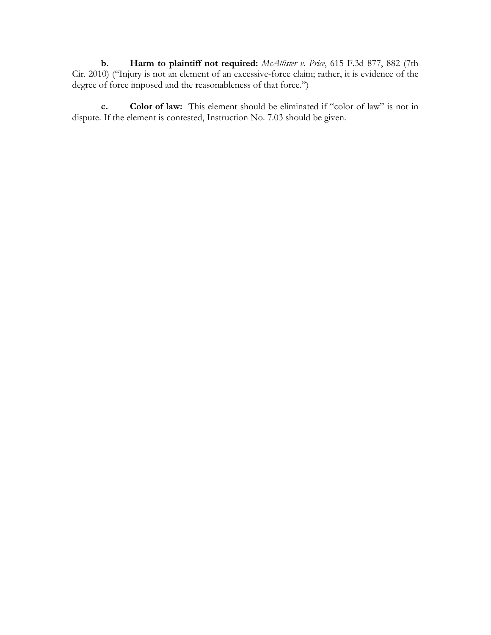**b. Harm to plaintiff not required:** *McAllister v. Price*, 615 F.3d 877, 882 (7th Cir. 2010) ("Injury is not an element of an excessive-force claim; rather, it is evidence of the degree of force imposed and the reasonableness of that force.")

**c. Color of law:** This element should be eliminated if "color of law" is not in dispute. If the element is contested, Instruction No. 7.03 should be given.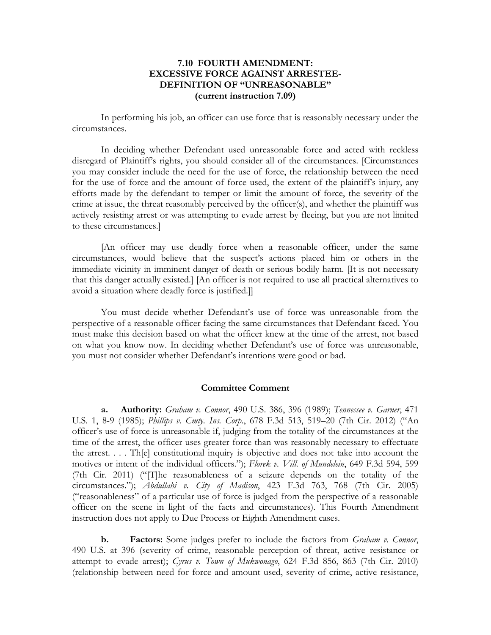## **7.10 FOURTH AMENDMENT: EXCESSIVE FORCE AGAINST ARRESTEE-DEFINITION OF "UNREASONABLE" (current instruction 7.09)**

In performing his job, an officer can use force that is reasonably necessary under the circumstances.

In deciding whether Defendant used unreasonable force and acted with reckless disregard of Plaintiff's rights, you should consider all of the circumstances. [Circumstances you may consider include the need for the use of force, the relationship between the need for the use of force and the amount of force used, the extent of the plaintiff's injury, any efforts made by the defendant to temper or limit the amount of force, the severity of the crime at issue, the threat reasonably perceived by the officer(s), and whether the plaintiff was actively resisting arrest or was attempting to evade arrest by fleeing, but you are not limited to these circumstances.]

[An officer may use deadly force when a reasonable officer, under the same circumstances, would believe that the suspect's actions placed him or others in the immediate vicinity in imminent danger of death or serious bodily harm. [It is not necessary that this danger actually existed.] [An officer is not required to use all practical alternatives to avoid a situation where deadly force is justified.]]

You must decide whether Defendant's use of force was unreasonable from the perspective of a reasonable officer facing the same circumstances that Defendant faced. You must make this decision based on what the officer knew at the time of the arrest, not based on what you know now. In deciding whether Defendant's use of force was unreasonable, you must not consider whether Defendant's intentions were good or bad.

#### **Committee Comment**

**a. Authority:** *Graham v. Connor*, 490 U.S. 386, 396 (1989); *Tennessee v. Garner*, 471 U.S. 1, 8-9 (1985); *Phillips v. Cmty. Ins. Corp.*, 678 F.3d 513, 519–20 (7th Cir. 2012) ("An officer's use of force is unreasonable if, judging from the totality of the circumstances at the time of the arrest, the officer uses greater force than was reasonably necessary to effectuate the arrest. . . . Th[e] constitutional inquiry is objective and does not take into account the motives or intent of the individual officers."); *Florek v. Vill. of Mundelein*, 649 F.3d 594, 599 (7th Cir. 2011) ("[T]he reasonableness of a seizure depends on the totality of the circumstances."); *Abdullahi v. City of Madison*, 423 F.3d 763, 768 (7th Cir. 2005) ("reasonableness" of a particular use of force is judged from the perspective of a reasonable officer on the scene in light of the facts and circumstances). This Fourth Amendment instruction does not apply to Due Process or Eighth Amendment cases.

**b. Factors:** Some judges prefer to include the factors from *Graham v. Connor*, 490 U.S. at 396 (severity of crime, reasonable perception of threat, active resistance or attempt to evade arrest); *Cyrus v. Town of Mukwonago*, 624 F.3d 856, 863 (7th Cir. 2010) (relationship between need for force and amount used, severity of crime, active resistance,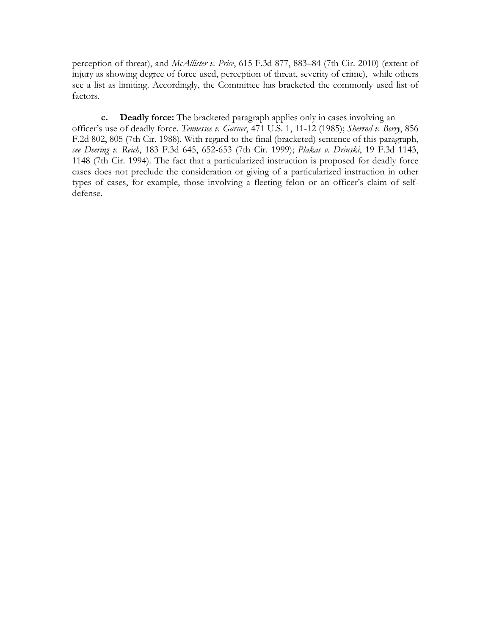perception of threat), and *McAllister v. Price*, 615 F.3d 877, 883–84 (7th Cir. 2010) (extent of injury as showing degree of force used, perception of threat, severity of crime), while others see a list as limiting. Accordingly, the Committee has bracketed the commonly used list of factors.

**c. Deadly force:** The bracketed paragraph applies only in cases involving an officer's use of deadly force. *Tennessee v. Garner*, 471 U.S. 1, 11-12 (1985); *Sherrod v. Berry*, 856 F.2d 802, 805 (7th Cir. 1988). With regard to the final (bracketed) sentence of this paragraph, *see Deering v. Reich*, 183 F.3d 645, 652-653 (7th Cir. 1999); *Plakas v. Drinski*, 19 F.3d 1143, 1148 (7th Cir. 1994). The fact that a particularized instruction is proposed for deadly force cases does not preclude the consideration or giving of a particularized instruction in other types of cases, for example, those involving a fleeting felon or an officer's claim of selfdefense.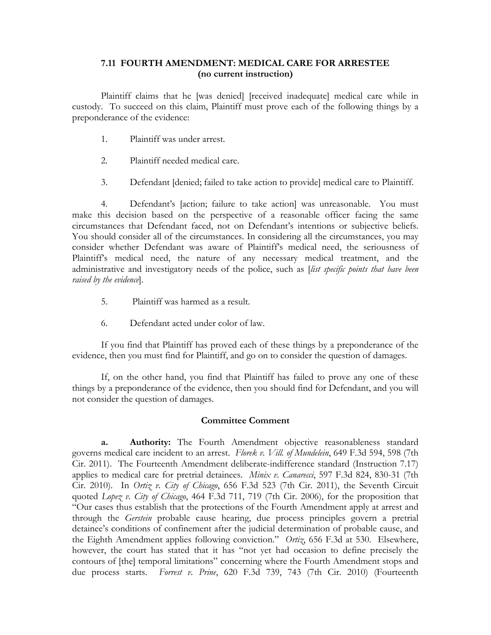## **7.11 FOURTH AMENDMENT: MEDICAL CARE FOR ARRESTEE (no current instruction)**

Plaintiff claims that he [was denied] [received inadequate] medical care while in custody. To succeed on this claim, Plaintiff must prove each of the following things by a preponderance of the evidence:

- 1. Plaintiff was under arrest.
- 2. Plaintiff needed medical care.
- 3. Defendant [denied; failed to take action to provide] medical care to Plaintiff.

4. Defendant's [action; failure to take action] was unreasonable. You must make this decision based on the perspective of a reasonable officer facing the same circumstances that Defendant faced, not on Defendant's intentions or subjective beliefs. You should consider all of the circumstances. In considering all the circumstances, you may consider whether Defendant was aware of Plaintiff's medical need, the seriousness of Plaintiff's medical need, the nature of any necessary medical treatment, and the administrative and investigatory needs of the police, such as [*list specific points that have been raised by the evidence*].

- 5. Plaintiff was harmed as a result.
- 6. Defendant acted under color of law.

If you find that Plaintiff has proved each of these things by a preponderance of the evidence, then you must find for Plaintiff, and go on to consider the question of damages.

If, on the other hand, you find that Plaintiff has failed to prove any one of these things by a preponderance of the evidence, then you should find for Defendant, and you will not consider the question of damages.

## **Committee Comment**

**a. Authority:** The Fourth Amendment objective reasonableness standard governs medical care incident to an arrest. *Florek v. Vill. of Mundelein*, 649 F.3d 594, 598 (7th Cir. 2011). The Fourteenth Amendment deliberate-indifference standard (Instruction 7.17) applies to medical care for pretrial detainees. *Minix v. Canarecci*, 597 F.3d 824, 830-31 (7th Cir. 2010). In *Ortiz v. City of Chicago*, 656 F.3d 523 (7th Cir. 2011), the Seventh Circuit quoted *Lopez v. City of Chicago*, 464 F.3d 711, 719 (7th Cir. 2006), for the proposition that "Our cases thus establish that the protections of the Fourth Amendment apply at arrest and through the *Gerstein* probable cause hearing, due process principles govern a pretrial detainee's conditions of confinement after the judicial determination of probable cause, and the Eighth Amendment applies following conviction." *Ortiz*, 656 F.3d at 530. Elsewhere, however, the court has stated that it has "not yet had occasion to define precisely the contours of [the] temporal limitations" concerning where the Fourth Amendment stops and due process starts. *Forrest v. Prine*, 620 F.3d 739, 743 (7th Cir. 2010) (Fourteenth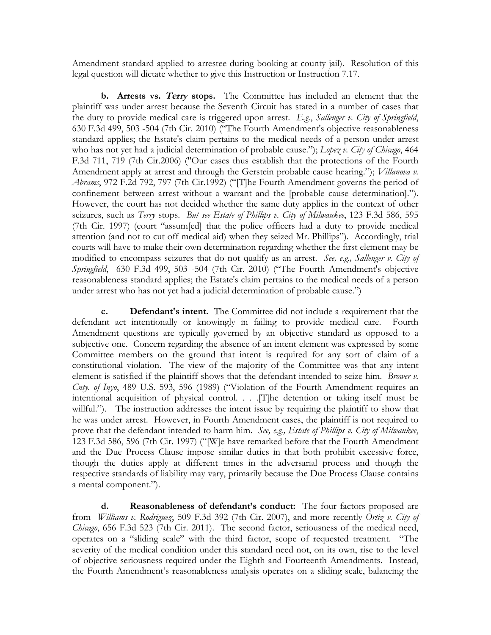Amendment standard applied to arrestee during booking at county jail). Resolution of this legal question will dictate whether to give this Instruction or Instruction 7.17.

**b. Arrests vs. Terry stops.** The Committee has included an element that the plaintiff was under arrest because the Seventh Circuit has stated in a number of cases that the duty to provide medical care is triggered upon arrest. *E.g.*, *Sallenger v. City of Springfield*, 630 F.3d 499, 503 -504 (7th Cir. 2010) ("The Fourth Amendment's objective reasonableness standard applies; the Estate's claim pertains to the medical needs of a person under arrest who has not yet had a judicial determination of probable cause."); *Lopez v. City of Chicago*, 464 F.3d 711, 719 (7th Cir.2006) ("Our cases thus establish that the protections of the Fourth Amendment apply at arrest and through the Gerstein probable cause hearing."); *Villanova v. Abrams*, 972 F.2d 792, 797 (7th Cir.1992) ("[T]he Fourth Amendment governs the period of confinement between arrest without a warrant and the [probable cause determination]."). However, the court has not decided whether the same duty applies in the context of other seizures, such as *Terry* stops. *But see Estate of Phillips v. City of Milwaukee*, 123 F.3d 586, 595 (7th Cir. 1997) (court "assum[ed] that the police officers had a duty to provide medical attention (and not to cut off medical aid) when they seized Mr. Phillips"). Accordingly, trial courts will have to make their own determination regarding whether the first element may be modified to encompass seizures that do not qualify as an arrest. *See, e.g., Sallenger v. City of Springfield*, 630 F.3d 499, 503 -504 (7th Cir. 2010) ("The Fourth Amendment's objective reasonableness standard applies; the Estate's claim pertains to the medical needs of a person under arrest who has not yet had a judicial determination of probable cause.")

**c. Defendant's intent.** The Committee did not include a requirement that the defendant act intentionally or knowingly in failing to provide medical care. Fourth Amendment questions are typically governed by an objective standard as opposed to a subjective one. Concern regarding the absence of an intent element was expressed by some Committee members on the ground that intent is required for any sort of claim of a constitutional violation. The view of the majority of the Committee was that any intent element is satisfied if the plaintiff shows that the defendant intended to seize him. *Brower v. Cnty. of Inyo*, 489 U.S. 593, 596 (1989) ("Violation of the Fourth Amendment requires an intentional acquisition of physical control. . . .[T]he detention or taking itself must be willful."). The instruction addresses the intent issue by requiring the plaintiff to show that he was under arrest. However, in Fourth Amendment cases, the plaintiff is not required to prove that the defendant intended to harm him. *See, e.g., Estate of Phillips v. City of Milwaukee*, 123 F.3d 586, 596 (7th Cir. 1997) ("[W]e have remarked before that the Fourth Amendment and the Due Process Clause impose similar duties in that both prohibit excessive force, though the duties apply at different times in the adversarial process and though the respective standards of liability may vary, primarily because the Due Process Clause contains a mental component.").

**d. Reasonableness of defendant's conduct:** The four factors proposed are from *Williams v. Rodriguez*, 509 F.3d 392 (7th Cir. 2007), and more recently *Ortiz v. City of Chicago*, 656 F.3d 523 (7th Cir. 2011). The second factor, seriousness of the medical need, operates on a "sliding scale" with the third factor, scope of requested treatment. "The severity of the medical condition under this standard need not, on its own, rise to the level of objective seriousness required under the Eighth and Fourteenth Amendments. Instead, the Fourth Amendment's reasonableness analysis operates on a sliding scale, balancing the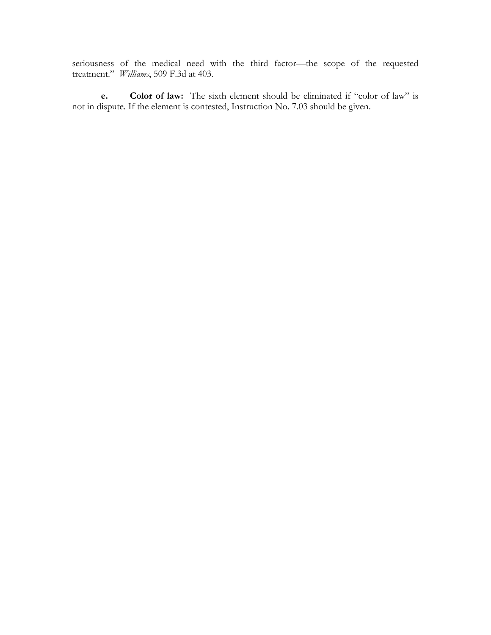seriousness of the medical need with the third factor—the scope of the requested treatment." *Williams*, 509 F.3d at 403.

**e. Color of law:** The sixth element should be eliminated if "color of law" is not in dispute. If the element is contested, Instruction No. 7.03 should be given.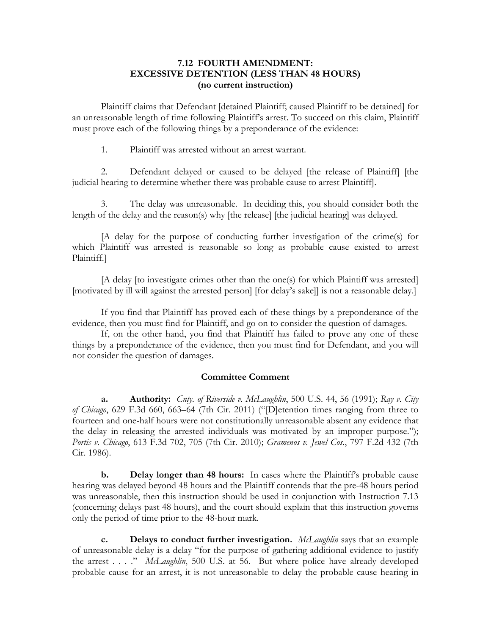## **7.12 FOURTH AMENDMENT: EXCESSIVE DETENTION (LESS THAN 48 HOURS) (no current instruction)**

Plaintiff claims that Defendant [detained Plaintiff; caused Plaintiff to be detained] for an unreasonable length of time following Plaintiff's arrest. To succeed on this claim, Plaintiff must prove each of the following things by a preponderance of the evidence:

1. Plaintiff was arrested without an arrest warrant.

2. Defendant delayed or caused to be delayed [the release of Plaintiff] [the judicial hearing to determine whether there was probable cause to arrest Plaintiff].

3. The delay was unreasonable. In deciding this, you should consider both the length of the delay and the reason(s) why [the release] [the judicial hearing] was delayed.

[A delay for the purpose of conducting further investigation of the crime(s) for which Plaintiff was arrested is reasonable so long as probable cause existed to arrest Plaintiff.]

[A delay [to investigate crimes other than the one(s) for which Plaintiff was arrested] [motivated by ill will against the arrested person] [for delay's sake]] is not a reasonable delay.]

If you find that Plaintiff has proved each of these things by a preponderance of the evidence, then you must find for Plaintiff, and go on to consider the question of damages.

If, on the other hand, you find that Plaintiff has failed to prove any one of these things by a preponderance of the evidence, then you must find for Defendant, and you will not consider the question of damages.

## **Committee Comment**

**a. Authority:** *Cnty. of Riverside v. McLaughlin*, 500 U.S. 44, 56 (1991); *Ray v. City of Chicago*, 629 F.3d 660, 663–64 (7th Cir. 2011) ("[D]etention times ranging from three to fourteen and one-half hours were not constitutionally unreasonable absent any evidence that the delay in releasing the arrested individuals was motivated by an improper purpose."); *Portis v. Chicago*, 613 F.3d 702, 705 (7th Cir. 2010); *Gramenos v. Jewel Cos.*, 797 F.2d 432 (7th Cir. 1986).

**b. Delay longer than 48 hours:** In cases where the Plaintiff's probable cause hearing was delayed beyond 48 hours and the Plaintiff contends that the pre-48 hours period was unreasonable, then this instruction should be used in conjunction with Instruction 7.13 (concerning delays past 48 hours), and the court should explain that this instruction governs only the period of time prior to the 48-hour mark.

**c. Delays to conduct further investigation.** *McLaughlin* says that an example of unreasonable delay is a delay "for the purpose of gathering additional evidence to justify the arrest . . . ." *McLaughlin*, 500 U.S. at 56. But where police have already developed probable cause for an arrest, it is not unreasonable to delay the probable cause hearing in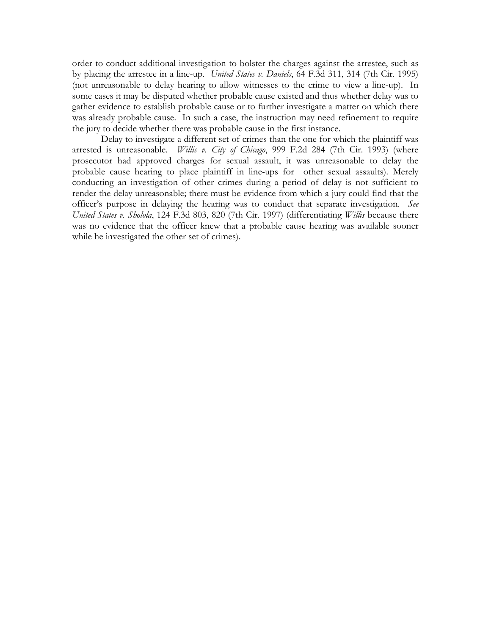order to conduct additional investigation to bolster the charges against the arrestee, such as by placing the arrestee in a line-up. *United States v. Daniels*, 64 F.3d 311, 314 (7th Cir. 1995) (not unreasonable to delay hearing to allow witnesses to the crime to view a line-up). In some cases it may be disputed whether probable cause existed and thus whether delay was to gather evidence to establish probable cause or to further investigate a matter on which there was already probable cause. In such a case, the instruction may need refinement to require the jury to decide whether there was probable cause in the first instance.

Delay to investigate a different set of crimes than the one for which the plaintiff was arrested is unreasonable. *Willis v. City of Chicago*, 999 F.2d 284 (7th Cir. 1993) (where prosecutor had approved charges for sexual assault, it was unreasonable to delay the probable cause hearing to place plaintiff in line-ups for other sexual assaults). Merely conducting an investigation of other crimes during a period of delay is not sufficient to render the delay unreasonable; there must be evidence from which a jury could find that the officer's purpose in delaying the hearing was to conduct that separate investigation. *See United States v. Sholola*, 124 F.3d 803, 820 (7th Cir. 1997) (differentiating *Willis* because there was no evidence that the officer knew that a probable cause hearing was available sooner while he investigated the other set of crimes).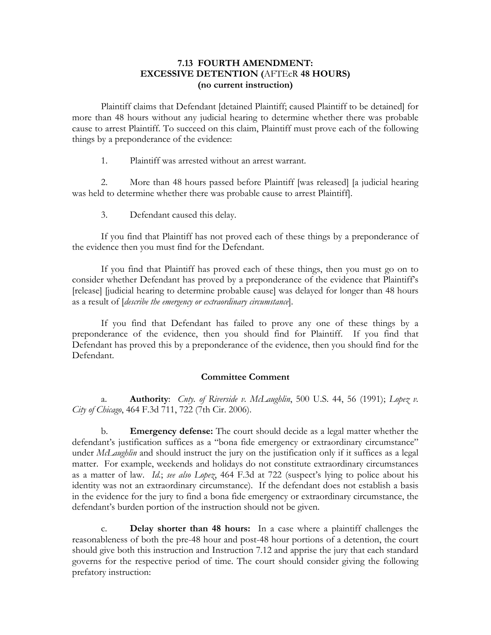## **7.13 FOURTH AMENDMENT: EXCESSIVE DETENTION (**AFTEcR **48 HOURS) (no current instruction)**

Plaintiff claims that Defendant [detained Plaintiff; caused Plaintiff to be detained] for more than 48 hours without any judicial hearing to determine whether there was probable cause to arrest Plaintiff. To succeed on this claim, Plaintiff must prove each of the following things by a preponderance of the evidence:

1. Plaintiff was arrested without an arrest warrant.

2. More than 48 hours passed before Plaintiff [was released] [a judicial hearing was held to determine whether there was probable cause to arrest Plaintiff].

3. Defendant caused this delay.

If you find that Plaintiff has not proved each of these things by a preponderance of the evidence then you must find for the Defendant.

If you find that Plaintiff has proved each of these things, then you must go on to consider whether Defendant has proved by a preponderance of the evidence that Plaintiff's [release] [judicial hearing to determine probable cause] was delayed for longer than 48 hours as a result of [*describe the emergency or extraordinary circumstance*].

If you find that Defendant has failed to prove any one of these things by a preponderance of the evidence, then you should find for Plaintiff. If you find that Defendant has proved this by a preponderance of the evidence, then you should find for the Defendant.

## **Committee Comment**

a. **Authority**: *Cnty. of Riverside v. McLaughlin*, 500 U.S. 44, 56 (1991); *Lopez v. City of Chicago*, 464 F.3d 711, 722 (7th Cir. 2006).

b. **Emergency defense:** The court should decide as a legal matter whether the defendant's justification suffices as a "bona fide emergency or extraordinary circumstance" under *McLaughlin* and should instruct the jury on the justification only if it suffices as a legal matter. For example, weekends and holidays do not constitute extraordinary circumstances as a matter of law. *Id.*; *see also Lopez*, 464 F.3d at 722 (suspect's lying to police about his identity was not an extraordinary circumstance). If the defendant does not establish a basis in the evidence for the jury to find a bona fide emergency or extraordinary circumstance, the defendant's burden portion of the instruction should not be given.

c. **Delay shorter than 48 hours:** In a case where a plaintiff challenges the reasonableness of both the pre-48 hour and post-48 hour portions of a detention, the court should give both this instruction and Instruction 7.12 and apprise the jury that each standard governs for the respective period of time. The court should consider giving the following prefatory instruction: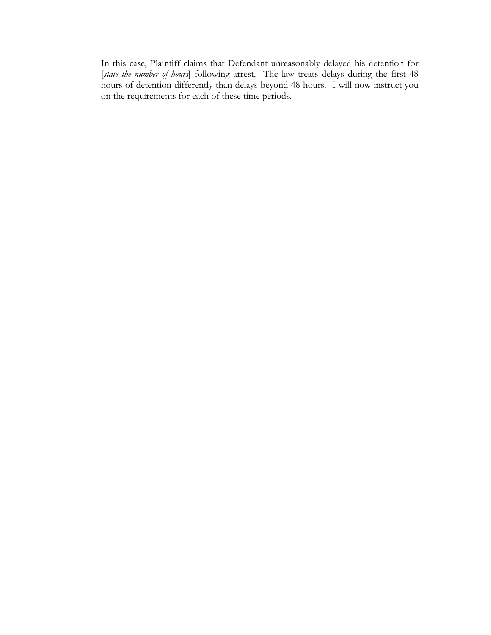In this case, Plaintiff claims that Defendant unreasonably delayed his detention for [*state the number of hours*] following arrest. The law treats delays during the first 48 hours of detention differently than delays beyond 48 hours. I will now instruct you on the requirements for each of these time periods.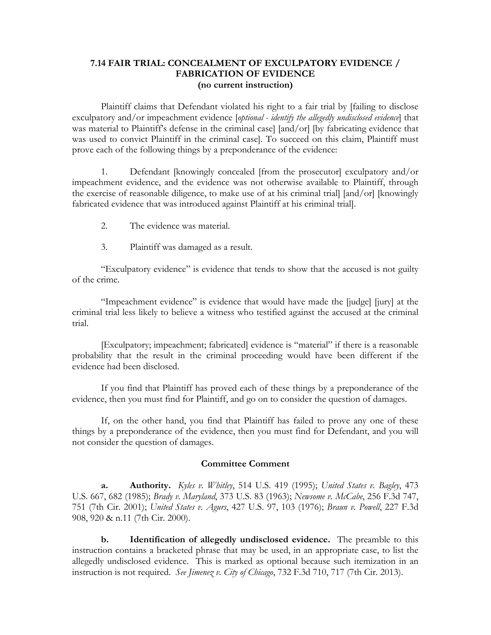### **7.14 FAIR TRIAL: CONCEALMENT OF EXCULPATORY EVIDENCE / FABRICATION OF EVIDENCE (no current instruction)**

Plaintiff claims that Defendant violated his right to a fair trial by [failing to disclose exculpatory and/or impeachment evidence [*optional - identify the allegedly undisclosed evidence*] that was material to Plaintiff's defense in the criminal case] [and/or] [by fabricating evidence that was used to convict Plaintiff in the criminal case]. To succeed on this claim, Plaintiff must prove each of the following things by a preponderance of the evidence:

1. Defendant [knowingly concealed [from the prosecutor] exculpatory and/or impeachment evidence, and the evidence was not otherwise available to Plaintiff, through the exercise of reasonable diligence, to make use of at his criminal trial] [and/or] [knowingly fabricated evidence that was introduced against Plaintiff at his criminal trial].

- 2. The evidence was material.
- 3. Plaintiff was damaged as a result.

"Exculpatory evidence" is evidence that tends to show that the accused is not guilty of the crime.

"Impeachment evidence" is evidence that would have made the [judge] [jury] at the criminal trial less likely to believe a witness who testified against the accused at the criminal trial.

[Exculpatory; impeachment; fabricated] evidence is "material" if there is a reasonable probability that the result in the criminal proceeding would have been different if the evidence had been disclosed.

If you find that Plaintiff has proved each of these things by a preponderance of the evidence, then you must find for Plaintiff, and go on to consider the question of damages.

If, on the other hand, you find that Plaintiff has failed to prove any one of these things by a preponderance of the evidence, then you must find for Defendant, and you will not consider the question of damages.

#### **Committee Comment**

**a. Authority.** *Kyles v. Whitley*, 514 U.S. 419 (1995); *United States v. Bagley*, 473 U.S. 667, 682 (1985); *Brady v. Maryland*, 373 U.S. 83 (1963); *Newsome v. McCabe*, 256 F.3d 747, 751 (7th Cir. 2001); *United States v. Agurs*, 427 U.S. 97, 103 (1976); *Braun v. Powell*, 227 F.3d 908, 920 & n.11 (7th Cir. 2000).

**b. Identification of allegedly undisclosed evidence.** The preamble to this instruction contains a bracketed phrase that may be used, in an appropriate case, to list the allegedly undisclosed evidence. This is marked as optional because such itemization in an instruction is not required. *See Jimenez v. City of Chicago*, 732 F.3d 710, 717 (7th Cir. 2013).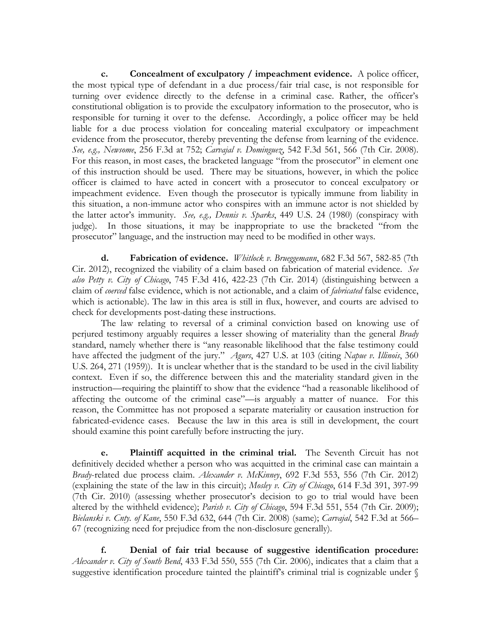**c. Concealment of exculpatory / impeachment evidence.** A police officer, the most typical type of defendant in a due process/fair trial case, is not responsible for turning over evidence directly to the defense in a criminal case. Rather, the officer's constitutional obligation is to provide the exculpatory information to the prosecutor, who is responsible for turning it over to the defense. Accordingly, a police officer may be held liable for a due process violation for concealing material exculpatory or impeachment evidence from the prosecutor, thereby preventing the defense from learning of the evidence. *See, e.g., Newsome*, 256 F.3d at 752; *Carvajal v. Dominguez*, 542 F.3d 561, 566 (7th Cir. 2008). For this reason, in most cases, the bracketed language "from the prosecutor" in element one of this instruction should be used. There may be situations, however, in which the police officer is claimed to have acted in concert with a prosecutor to conceal exculpatory or impeachment evidence. Even though the prosecutor is typically immune from liability in this situation, a non-immune actor who conspires with an immune actor is not shielded by the latter actor's immunity. *See, e.g., Dennis v. Sparks*, 449 U.S. 24 (1980) (conspiracy with judge). In those situations, it may be inappropriate to use the bracketed "from the prosecutor" language, and the instruction may need to be modified in other ways.

**d. Fabrication of evidence.** *Whitlock v. Brueggemann*, 682 F.3d 567, 582-85 (7th Cir. 2012), recognized the viability of a claim based on fabrication of material evidence. *See also Petty v. City of Chicago*, 745 F.3d 416, 422-23 (7th Cir. 2014) (distinguishing between a claim of *coerced* false evidence, which is not actionable, and a claim of *fabricated* false evidence, which is actionable). The law in this area is still in flux, however, and courts are advised to check for developments post-dating these instructions.

The law relating to reversal of a criminal conviction based on knowing use of perjured testimony arguably requires a lesser showing of materiality than the general *Brady*  standard, namely whether there is "any reasonable likelihood that the false testimony could have affected the judgment of the jury." *Agurs*, 427 U.S. at 103 (citing *Napue v. Illinois*, 360 U.S. 264, 271 (1959)). It is unclear whether that is the standard to be used in the civil liability context. Even if so, the difference between this and the materiality standard given in the instruction—requiring the plaintiff to show that the evidence "had a reasonable likelihood of affecting the outcome of the criminal case"—is arguably a matter of nuance. For this reason, the Committee has not proposed a separate materiality or causation instruction for fabricated-evidence cases. Because the law in this area is still in development, the court should examine this point carefully before instructing the jury.

**e. Plaintiff acquitted in the criminal trial.** The Seventh Circuit has not definitively decided whether a person who was acquitted in the criminal case can maintain a *Brady*-related due process claim. *Alexander v. McKinney*, 692 F.3d 553, 556 (7th Cir. 2012) (explaining the state of the law in this circuit); *Mosley v. City of Chicago*, 614 F.3d 391, 397-99 (7th Cir. 2010) (assessing whether prosecutor's decision to go to trial would have been altered by the withheld evidence); *Parish v. City of Chicago*, 594 F.3d 551, 554 (7th Cir. 2009); *Bielanski v. Cnty. of Kane*, 550 F.3d 632, 644 (7th Cir. 2008) (same); *Carvajal*, 542 F.3d at 566– 67 (recognizing need for prejudice from the non-disclosure generally).

**f. Denial of fair trial because of suggestive identification procedure:**  *Alexander v. City of South Bend*, 433 F.3d 550, 555 (7th Cir. 2006), indicates that a claim that a suggestive identification procedure tainted the plaintiff's criminal trial is cognizable under §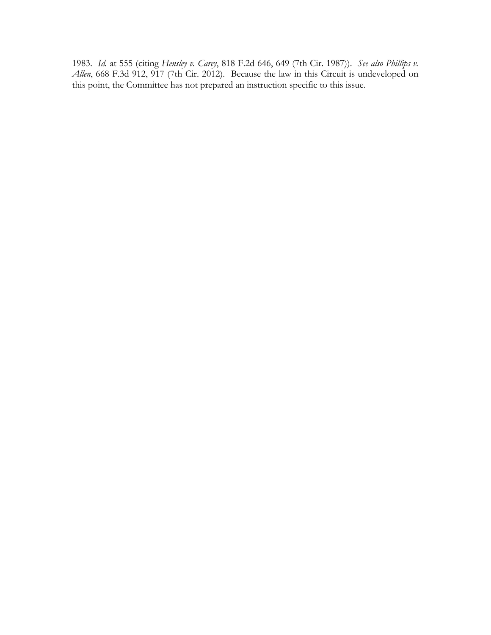1983. *Id.* at 555 (citing *Hensley v. Carey*, 818 F.2d 646, 649 (7th Cir. 1987)). *See also Phillips v.*  Allen, 668 F.3d 912, 917 (7th Cir. 2012). Because the law in this Circuit is undeveloped on this point, the Committee has not prepared an instruction specific to this issue.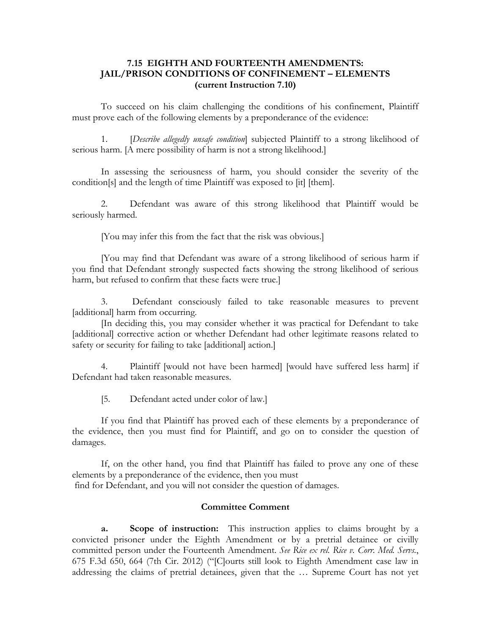## **7.15 EIGHTH AND FOURTEENTH AMENDMENTS: JAIL/PRISON CONDITIONS OF CONFINEMENT – ELEMENTS (current Instruction 7.10)**

To succeed on his claim challenging the conditions of his confinement, Plaintiff must prove each of the following elements by a preponderance of the evidence:

1. [*Describe allegedly unsafe condition*] subjected Plaintiff to a strong likelihood of serious harm. [A mere possibility of harm is not a strong likelihood.]

In assessing the seriousness of harm, you should consider the severity of the condition[s] and the length of time Plaintiff was exposed to [it] [them].

2. Defendant was aware of this strong likelihood that Plaintiff would be seriously harmed.

[You may infer this from the fact that the risk was obvious.]

[You may find that Defendant was aware of a strong likelihood of serious harm if you find that Defendant strongly suspected facts showing the strong likelihood of serious harm, but refused to confirm that these facts were true.]

3. Defendant consciously failed to take reasonable measures to prevent [additional] harm from occurring.

[In deciding this, you may consider whether it was practical for Defendant to take [additional] corrective action or whether Defendant had other legitimate reasons related to safety or security for failing to take [additional] action.]

4. Plaintiff [would not have been harmed] [would have suffered less harm] if Defendant had taken reasonable measures.

[5. Defendant acted under color of law.]

If you find that Plaintiff has proved each of these elements by a preponderance of the evidence, then you must find for Plaintiff, and go on to consider the question of damages.

If, on the other hand, you find that Plaintiff has failed to prove any one of these elements by a preponderance of the evidence, then you must

find for Defendant, and you will not consider the question of damages.

### **Committee Comment**

**a. Scope of instruction:** This instruction applies to claims brought by a convicted prisoner under the Eighth Amendment or by a pretrial detainee or civilly committed person under the Fourteenth Amendment. *See Rice ex rel. Rice v. Corr. Med. Servs.*, 675 F.3d 650, 664 (7th Cir. 2012) ("[C]ourts still look to Eighth Amendment case law in addressing the claims of pretrial detainees, given that the … Supreme Court has not yet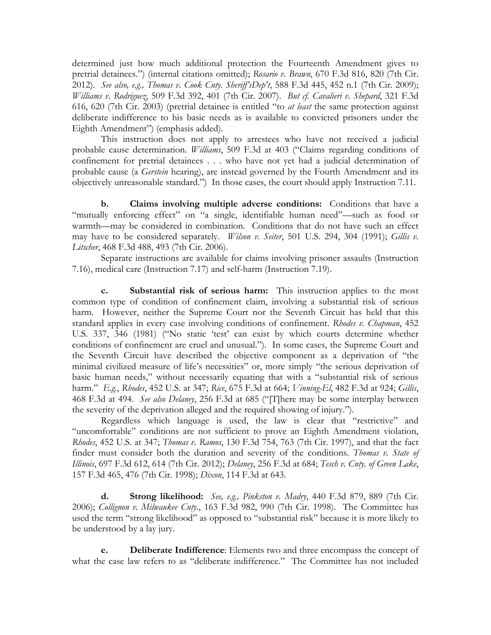determined just how much additional protection the Fourteenth Amendment gives to pretrial detainees.") (internal citations omitted); *Rosario v. Brawn*, 670 F.3d 816, 820 (7th Cir. 2012). *See also, e.g., Thomas v. Cook Cnty. Sheriff'sDep't*, 588 F.3d 445, 452 n.1 (7th Cir. 2009); *Williams v. Rodriguez*, 509 F.3d 392, 401 (7th Cir. 2007). *But cf. Cavalieri v. Shepard*, 321 F.3d 616, 620 (7th Cir. 2003) (pretrial detainee is entitled "to *at least* the same protection against deliberate indifference to his basic needs as is available to convicted prisoners under the Eighth Amendment") (emphasis added).

This instruction does not apply to arrestees who have not received a judicial probable cause determination. *Williams*, 509 F.3d at 403 ("Claims regarding conditions of confinement for pretrial detainees . . . who have not yet had a judicial determination of probable cause (a *Gerstein* hearing), are instead governed by the Fourth Amendment and its objectively unreasonable standard.") In those cases, the court should apply Instruction 7.11.

**b. Claims involving multiple adverse conditions:** Conditions that have a "mutually enforcing effect" on "a single, identifiable human need"—such as food or warmth—may be considered in combination. Conditions that do not have such an effect may have to be considered separately. *Wilson v. Seiter*, 501 U.S. 294, 304 (1991); *Gillis v. Litscher*, 468 F.3d 488, 493 (7th Cir. 2006).

Separate instructions are available for claims involving prisoner assaults (Instruction 7.16), medical care (Instruction 7.17) and self-harm (Instruction 7.19).

**c. Substantial risk of serious harm:** This instruction applies to the most common type of condition of confinement claim, involving a substantial risk of serious harm. However, neither the Supreme Court nor the Seventh Circuit has held that this standard applies in every case involving conditions of confinement. *Rhodes v. Chapman*, 452 U.S. 337, 346 (1981) ("No static 'test' can exist by which courts determine whether conditions of confinement are cruel and unusual."). In some cases, the Supreme Court and the Seventh Circuit have described the objective component as a deprivation of "the minimal civilized measure of life's necessities" or, more simply "the serious deprivation of basic human needs," without necessarily equating that with a "substantial risk of serious harm." *E.g.*, *Rhodes*, 452 U.S. at 347; *Rice*, 675 F.3d at 664; *Vinning-El*, 482 F.3d at 924; *Gillis*, 468 F.3d at 494. *See also Delaney*, 256 F.3d at 685 ("[T]here may be some interplay between the severity of the deprivation alleged and the required showing of injury.").

Regardless which language is used, the law is clear that "restrictive" and "uncomfortable" conditions are not sufficient to prove an Eighth Amendment violation, *Rhodes*, 452 U.S. at 347; *Thomas v. Ramos*, 130 F.3d 754, 763 (7th Cir. 1997), and that the fact finder must consider both the duration and severity of the conditions. *Thomas v. State of Illinois*, 697 F.3d 612, 614 (7th Cir. 2012); *Delaney*, 256 F.3d at 684; *Tesch v. Cnty. of Green Lake*, 157 F.3d 465, 476 (7th Cir. 1998); *Dixon*, 114 F.3d at 643.

**d. Strong likelihood:** *See, e.g., Pinkston v. Madry*, 440 F.3d 879, 889 (7th Cir. 2006); *Collignon v. Milwaukee Cnty.*, 163 F.3d 982, 990 (7th Cir. 1998). The Committee has used the term "strong likelihood" as opposed to "substantial risk" because it is more likely to be understood by a lay jury.

**e. Deliberate Indifference**: Elements two and three encompass the concept of what the case law refers to as "deliberate indifference." The Committee has not included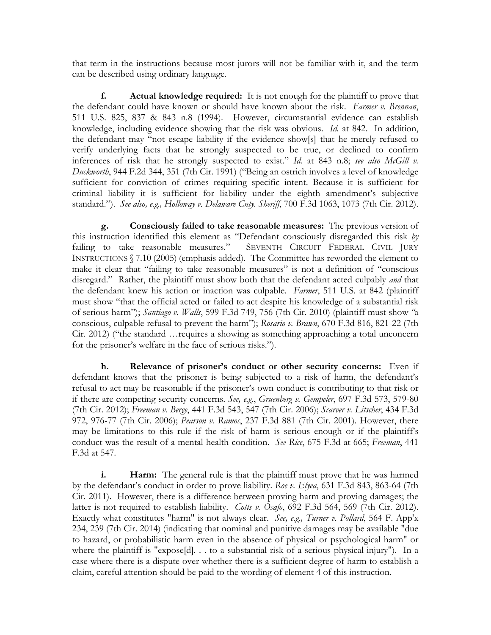that term in the instructions because most jurors will not be familiar with it, and the term can be described using ordinary language.

**f. Actual knowledge required:** It is not enough for the plaintiff to prove that the defendant could have known or should have known about the risk. *Farmer v. Brennan*, 511 U.S. 825, 837 & 843 n.8 (1994). However, circumstantial evidence can establish knowledge, including evidence showing that the risk was obvious. *Id.* at 842. In addition, the defendant may "not escape liability if the evidence show[s] that he merely refused to verify underlying facts that he strongly suspected to be true, or declined to confirm inferences of risk that he strongly suspected to exist." *Id.* at 843 n.8; *see also McGill v. Duckworth*, 944 F.2d 344, 351 (7th Cir. 1991) ("Being an ostrich involves a level of knowledge sufficient for conviction of crimes requiring specific intent. Because it is sufficient for criminal liability it is sufficient for liability under the eighth amendment's subjective standard."). *See also, e.g., Holloway v. Delaware Cnty. Sheriff*, 700 F.3d 1063, 1073 (7th Cir. 2012).

**g. Consciously failed to take reasonable measures:** The previous version of this instruction identified this element as "Defendant consciously disregarded this risk *by*  failing to take reasonable measures." SEVENTH CIRCUIT FEDERAL CIVIL JURY INSTRUCTIONS § 7.10 (2005) (emphasis added). The Committee has reworded the element to make it clear that "failing to take reasonable measures" is not a definition of "conscious disregard." Rather, the plaintiff must show both that the defendant acted culpably *and* that the defendant knew his action or inaction was culpable. *Farmer*, 511 U.S. at 842 (plaintiff must show "that the official acted or failed to act despite his knowledge of a substantial risk of serious harm"); *Santiago v. Walls*, 599 F.3d 749, 756 (7th Cir. 2010) (plaintiff must show *"*a conscious, culpable refusal to prevent the harm"); *Rosario v. Brawn*, 670 F.3d 816, 821-22 (7th Cir. 2012) ("the standard …requires a showing as something approaching a total unconcern for the prisoner's welfare in the face of serious risks.").

**h. Relevance of prisoner's conduct or other security concerns:** Even if defendant knows that the prisoner is being subjected to a risk of harm, the defendant's refusal to act may be reasonable if the prisoner's own conduct is contributing to that risk or if there are competing security concerns. *See, e.g.*, *Gruenberg v. Gempeler*, 697 F.3d 573, 579-80 (7th Cir. 2012); *Freeman v. Berge*, 441 F.3d 543, 547 (7th Cir. 2006); *Scarver v. Litscher*, 434 F.3d 972, 976-77 (7th Cir. 2006); *Pearson v. Ramos*, 237 F.3d 881 (7th Cir. 2001). However, there may be limitations to this rule if the risk of harm is serious enough or if the plaintiff's conduct was the result of a mental health condition. *See Rice*, 675 F.3d at 665; *Freeman*, 441 F.3d at 547.

**i. Harm:** The general rule is that the plaintiff must prove that he was harmed by the defendant's conduct in order to prove liability. *Roe v. Elyea*, 631 F.3d 843, 863-64 (7th Cir. 2011). However, there is a difference between proving harm and proving damages; the latter is not required to establish liability. *Cotts v. Osafo*, 692 F.3d 564, 569 (7th Cir. 2012). Exactly what constitutes "harm" is not always clear. *See, e.g., Turner v. Pollard*, 564 F. App'x 234, 239 (7th Cir. 2014) (indicating that nominal and punitive damages may be available "due to hazard, or probabilistic harm even in the absence of physical or psychological harm" or where the plaintiff is "expose[d]... to a substantial risk of a serious physical injury"). In a case where there is a dispute over whether there is a sufficient degree of harm to establish a claim, careful attention should be paid to the wording of element 4 of this instruction.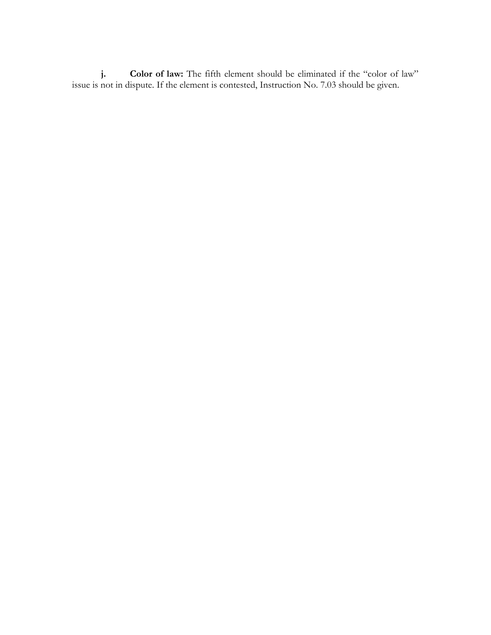**j. Color of law:** The fifth element should be eliminated if the "color of law" issue is not in dispute. If the element is contested, Instruction No. 7.03 should be given.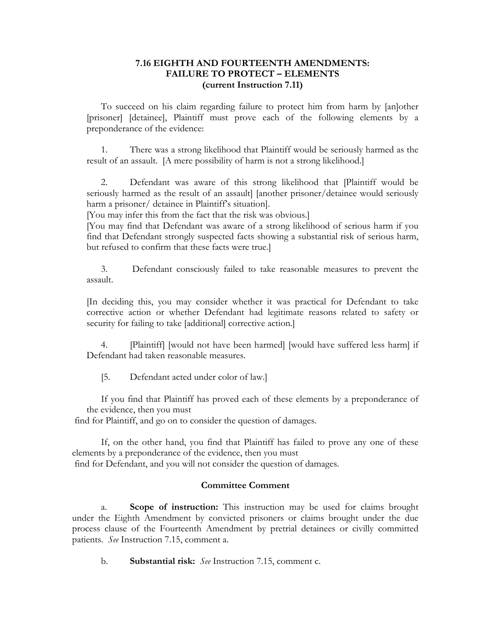## **7.16 EIGHTH AND FOURTEENTH AMENDMENTS: FAILURE TO PROTECT – ELEMENTS (current Instruction 7.11)**

To succeed on his claim regarding failure to protect him from harm by [an]other [prisoner] [detainee], Plaintiff must prove each of the following elements by a preponderance of the evidence:

There was a strong likelihood that Plaintiff would be seriously harmed as the result of an assault. [A mere possibility of harm is not a strong likelihood.]

2. Defendant was aware of this strong likelihood that [Plaintiff would be seriously harmed as the result of an assault] [another prisoner/detainee would seriously harm a prisoner/ detainee in Plaintiff's situation].

[You may infer this from the fact that the risk was obvious.]

[You may find that Defendant was aware of a strong likelihood of serious harm if you find that Defendant strongly suspected facts showing a substantial risk of serious harm, but refused to confirm that these facts were true.]

3. Defendant consciously failed to take reasonable measures to prevent the assault.

[In deciding this, you may consider whether it was practical for Defendant to take corrective action or whether Defendant had legitimate reasons related to safety or security for failing to take [additional] corrective action.]

4. [Plaintiff] [would not have been harmed] [would have suffered less harm] if Defendant had taken reasonable measures.

[5. Defendant acted under color of law.]

If you find that Plaintiff has proved each of these elements by a preponderance of the evidence, then you must

find for Plaintiff, and go on to consider the question of damages.

If, on the other hand, you find that Plaintiff has failed to prove any one of these elements by a preponderance of the evidence, then you must find for Defendant, and you will not consider the question of damages.

## **Committee Comment**

a. **Scope of instruction:** This instruction may be used for claims brought under the Eighth Amendment by convicted prisoners or claims brought under the due process clause of the Fourteenth Amendment by pretrial detainees or civilly committed patients. *See* Instruction 7.15, comment a.

b. **Substantial risk:** *See* Instruction 7.15, comment c.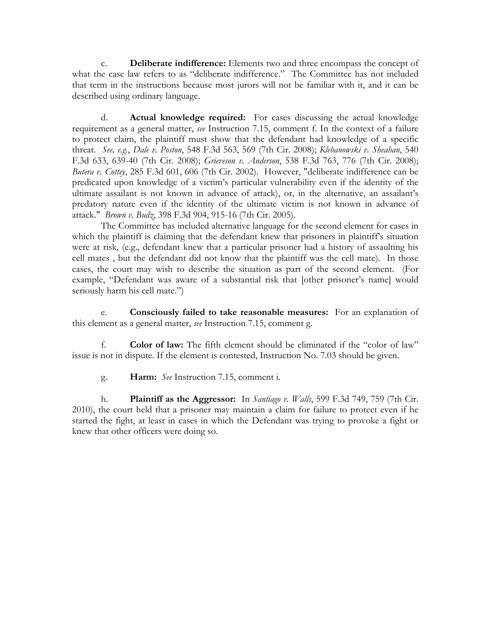c. **Deliberate indifference:** Elements two and three encompass the concept of what the case law refers to as "deliberate indifference." The Committee has not included that term in the instructions because most jurors will not be familiar with it, and it can be described using ordinary language.

d. **Actual knowledge required:** For cases discussing the actual knowledge requirement as a general matter, *see* Instruction 7.15, comment f. In the context of a failure to protect claim, the plaintiff must show that the defendant had knowledge of a specific threat. *See, e.g.*, *Dale v. Poston*, 548 F.3d 563, 569 (7th Cir. 2008); *Klebanowski v. Sheahan*, 540 F.3d 633, 639-40 (7th Cir. 2008); *Grieveson v. Anderson*, 538 F.3d 763, 776 (7th Cir. 2008); *Butera v. Cottey*, 285 F.3d 601, 606 (7th Cir. 2002). However, "deliberate indifference can be predicated upon knowledge of a victim's particular vulnerability even if the identity of the ultimate assailant is not known in advance of attack), or, in the alternative, an assailant's predatory nature even if the identity of the ultimate victim is not known in advance of attack." *Brown v. Budz*, 398 F.3d 904, 915-16 (7th Cir. 2005).

The Committee has included alternative language for the second element for cases in which the plaintiff is claiming that the defendant knew that prisoners in plaintiff's situation were at risk, (e.g., defendant knew that a particular prisoner had a history of assaulting his cell mates , but the defendant did not know that the plaintiff was the cell mate). In those cases, the court may wish to describe the situation as part of the second element. (For example, "Defendant was aware of a substantial risk that [other prisoner's name] would seriously harm his cell mate.")

e. **Consciously failed to take reasonable measures:** For an explanation of this element as a general matter, *see* Instruction 7.15, comment g.

f. **Color of law:** The fifth element should be eliminated if the "color of law" issue is not in dispute. If the element is contested, Instruction No. 7.03 should be given.

g. **Harm:** *See* Instruction 7.15, comment i.

h. **Plaintiff as the Aggressor:** In *Santiago v. Walls*, 599 F.3d 749, 759 (7th Cir. 2010), the court held that a prisoner may maintain a claim for failure to protect even if he started the fight, at least in cases in which the Defendant was trying to provoke a fight or knew that other officers were doing so.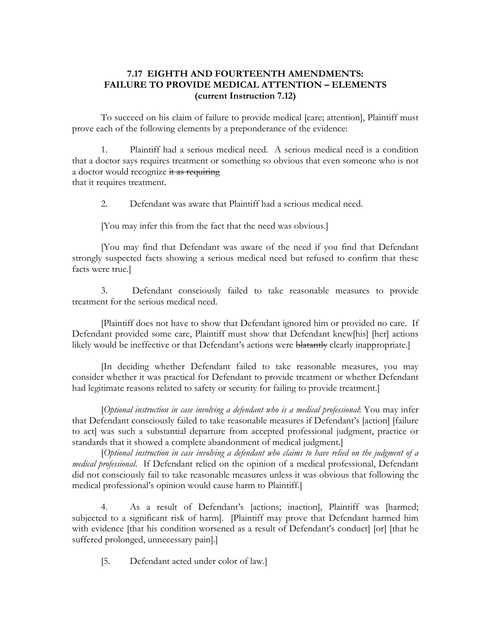## **7.17 EIGHTH AND FOURTEENTH AMENDMENTS: FAILURE TO PROVIDE MEDICAL ATTENTION – ELEMENTS (current Instruction 7.12)**

To succeed on his claim of failure to provide medical [care; attention], Plaintiff must prove each of the following elements by a preponderance of the evidence:

1. Plaintiff had a serious medical need. A serious medical need is a condition that a doctor says requires treatment or something so obvious that even someone who is not a doctor would recognize it as requiring that it requires treatment.

2. Defendant was aware that Plaintiff had a serious medical need.

[You may infer this from the fact that the need was obvious.]

[You may find that Defendant was aware of the need if you find that Defendant strongly suspected facts showing a serious medical need but refused to confirm that these facts were true.]

3. Defendant consciously failed to take reasonable measures to provide treatment for the serious medical need.

[Plaintiff does not have to show that Defendant ignored him or provided no care. If Defendant provided some care, Plaintiff must show that Defendant knew[his] [her] actions likely would be ineffective or that Defendant's actions were blatantly clearly inappropriate.

[In deciding whether Defendant failed to take reasonable measures, you may consider whether it was practical for Defendant to provide treatment or whether Defendant had legitimate reasons related to safety or security for failing to provide treatment.]

[*Optional instruction in case involving a defendant who is a medical professional*: You may infer that Defendant consciously failed to take reasonable measures if Defendant's [action] [failure to act] was such a substantial departure from accepted professional judgment, practice or standards that it showed a complete abandonment of medical judgment.]

[*Optional instruction in case involving a defendant who claims to have relied on the judgment of a medical professional*. If Defendant relied on the opinion of a medical professional, Defendant did not consciously fail to take reasonable measures unless it was obvious that following the medical professional's opinion would cause harm to Plaintiff.]

4. As a result of Defendant's [actions; inaction], Plaintiff was [harmed; subjected to a significant risk of harm]. [Plaintiff may prove that Defendant harmed him with evidence [that his condition worsened as a result of Defendant's conduct] [or] [that he suffered prolonged, unnecessary pain].]

[5. Defendant acted under color of law.]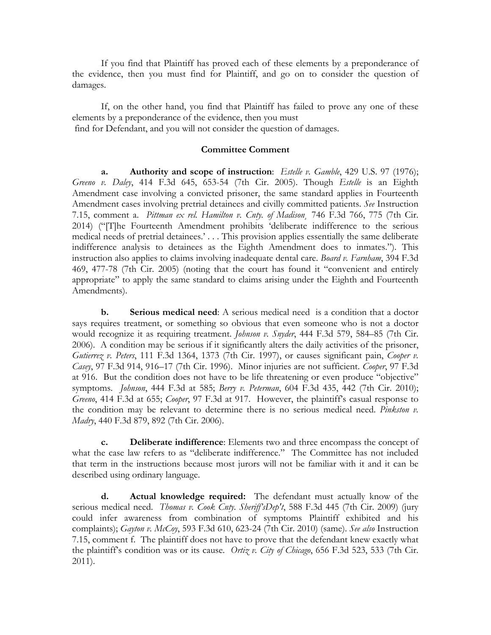If you find that Plaintiff has proved each of these elements by a preponderance of the evidence, then you must find for Plaintiff, and go on to consider the question of damages.

If, on the other hand, you find that Plaintiff has failed to prove any one of these elements by a preponderance of the evidence, then you must find for Defendant, and you will not consider the question of damages.

## **Committee Comment**

**a. Authority and scope of instruction**: *Estelle v. Gamble*, 429 U.S. 97 (1976); *Greeno v. Daley*, 414 F.3d 645, 653-54 (7th Cir. 2005). Though *Estelle* is an Eighth Amendment case involving a convicted prisoner, the same standard applies in Fourteenth Amendment cases involving pretrial detainees and civilly committed patients. *See* Instruction 7.15, comment a. *Pittman ex rel. Hamilton v. Cnty. of Madison*¸ 746 F.3d 766, 775 (7th Cir. 2014) ("[T]he Fourteenth Amendment prohibits 'deliberate indifference to the serious medical needs of pretrial detainees.' . . . This provision applies essentially the same deliberate indifference analysis to detainees as the Eighth Amendment does to inmates."). This instruction also applies to claims involving inadequate dental care. *Board v. Farnham*, 394 F.3d 469, 477-78 (7th Cir. 2005) (noting that the court has found it "convenient and entirely appropriate" to apply the same standard to claims arising under the Eighth and Fourteenth Amendments).

**b. Serious medical need**: A serious medical need is a condition that a doctor says requires treatment, or something so obvious that even someone who is not a doctor would recognize it as requiring treatment. *Johnson v. Snyder*, 444 F.3d 579, 584–85 (7th Cir. 2006). A condition may be serious if it significantly alters the daily activities of the prisoner, *Gutierrez v. Peters*, 111 F.3d 1364, 1373 (7th Cir. 1997), or causes significant pain, *Cooper v. Casey*, 97 F.3d 914, 916–17 (7th Cir. 1996). Minor injuries are not sufficient. *Cooper*, 97 F.3d at 916. But the condition does not have to be life threatening or even produce "objective" symptoms. *Johnson*, 444 F.3d at 585; *Berry v. Peterman*, 604 F.3d 435, 442 (7th Cir. 2010); *Greeno*, 414 F.3d at 655; *Cooper*, 97 F.3d at 917. However, the plaintiff's casual response to the condition may be relevant to determine there is no serious medical need. *Pinkston v. Madry*, 440 F.3d 879, 892 (7th Cir. 2006).

**c. Deliberate indifference**: Elements two and three encompass the concept of what the case law refers to as "deliberate indifference." The Committee has not included that term in the instructions because most jurors will not be familiar with it and it can be described using ordinary language.

**d. Actual knowledge required:** The defendant must actually know of the serious medical need. *Thomas v. Cook Cnty. Sheriff'sDep't*, 588 F.3d 445 (7th Cir. 2009) (jury could infer awareness from combination of symptoms Plaintiff exhibited and his complaints); *Gayton v. McCoy*, 593 F.3d 610, 623-24 (7th Cir. 2010) (same). *See also* Instruction 7.15, comment f. The plaintiff does not have to prove that the defendant knew exactly what the plaintiff's condition was or its cause. *Ortiz v. City of Chicago*, 656 F.3d 523, 533 (7th Cir. 2011).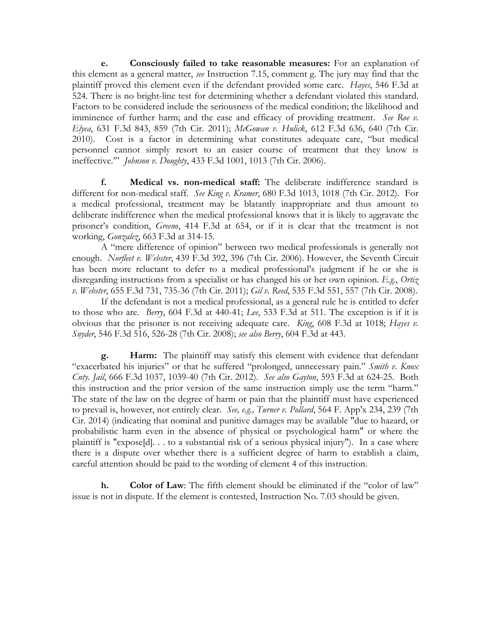**e. Consciously failed to take reasonable measures:** For an explanation of this element as a general matter, *see* Instruction 7.15, comment g. The jury may find that the plaintiff proved this element even if the defendant provided some care. *Hayes*, 546 F.3d at 524. There is no bright-line test for determining whether a defendant violated this standard. Factors to be considered include the seriousness of the medical condition; the likelihood and imminence of further harm; and the ease and efficacy of providing treatment. *See Roe v. Elyea*, 631 F.3d 843, 859 (7th Cir. 2011); *McGowan v. Hulick*, 612 F.3d 636, 640 (7th Cir. 2010). Cost is a factor in determining what constitutes adequate care, "but medical personnel cannot simply resort to an easier course of treatment that they know is ineffective.'" *Johnson v. Doughty*, 433 F.3d 1001, 1013 (7th Cir. 2006).

**f. Medical vs. non-medical staff:** The deliberate indifference standard is different for non-medical staff. *See King v. Kramer*, 680 F.3d 1013, 1018 (7th Cir. 2012). For a medical professional, treatment may be blatantly inappropriate and thus amount to deliberate indifference when the medical professional knows that it is likely to aggravate the prisoner's condition, *Greeno*, 414 F.3d at 654, or if it is clear that the treatment is not working, *Gonzalez*, 663 F.3d at 314-15.

A "mere difference of opinion" between two medical professionals is generally not enough. *Norfleet v. Webster*, 439 F.3d 392, 396 (7th Cir. 2006). However, the Seventh Circuit has been more reluctant to defer to a medical professional's judgment if he or she is disregarding instructions from a specialist or has changed his or her own opinion. *E.g.*, *Ortiz v. Webster*, 655 F.3d 731, 735-36 (7th Cir. 2011); *Gil v. Reed*, 535 F.3d 551, 557 (7th Cir. 2008).

If the defendant is not a medical professional, as a general rule he is entitled to defer to those who are. *Berry*, 604 F.3d at 440-41; *Lee*, 533 F.3d at 511. The exception is if it is obvious that the prisoner is not receiving adequate care. *King*, 608 F.3d at 1018; *Hayes v. Snyder*, 546 F.3d 516, 526-28 (7th Cir. 2008); *see also Berry*, 604 F.3d at 443.

**g. Harm:** The plaintiff may satisfy this element with evidence that defendant "exacerbated his injuries" or that he suffered "prolonged, unnecessary pain." *Smith v. Knox Cnty. Jail*, 666 F.3d 1037, 1039-40 (7th Cir. 2012). *See also Gayton*, 593 F.3d at 624-25. Both this instruction and the prior version of the same instruction simply use the term "harm." The state of the law on the degree of harm or pain that the plaintiff must have experienced to prevail is, however, not entirely clear. *See, e.g., Turner v. Pollard*, 564 F. App'x 234, 239 (7th Cir. 2014) (indicating that nominal and punitive damages may be available "due to hazard, or probabilistic harm even in the absence of physical or psychological harm" or where the plaintiff is "expose[d]. . . to a substantial risk of a serious physical injury"). In a case where there is a dispute over whether there is a sufficient degree of harm to establish a claim, careful attention should be paid to the wording of element 4 of this instruction.

**h. Color of Law**: The fifth element should be eliminated if the "color of law" issue is not in dispute. If the element is contested, Instruction No. 7.03 should be given.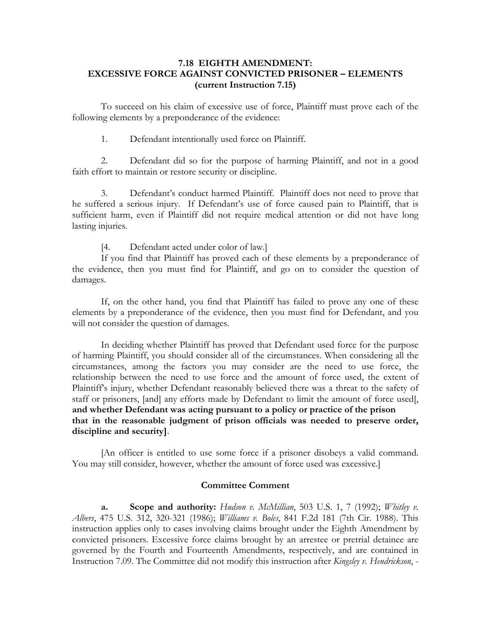## **7.18 EIGHTH AMENDMENT: EXCESSIVE FORCE AGAINST CONVICTED PRISONER – ELEMENTS (current Instruction 7.15)**

To succeed on his claim of excessive use of force, Plaintiff must prove each of the following elements by a preponderance of the evidence:

1. Defendant intentionally used force on Plaintiff.

2. Defendant did so for the purpose of harming Plaintiff, and not in a good faith effort to maintain or restore security or discipline.

3. Defendant's conduct harmed Plaintiff. Plaintiff does not need to prove that he suffered a serious injury. If Defendant's use of force caused pain to Plaintiff, that is sufficient harm, even if Plaintiff did not require medical attention or did not have long lasting injuries.

[4. Defendant acted under color of law.]

If you find that Plaintiff has proved each of these elements by a preponderance of the evidence, then you must find for Plaintiff, and go on to consider the question of damages.

If, on the other hand, you find that Plaintiff has failed to prove any one of these elements by a preponderance of the evidence, then you must find for Defendant, and you will not consider the question of damages.

In deciding whether Plaintiff has proved that Defendant used force for the purpose of harming Plaintiff, you should consider all of the circumstances. When considering all the circumstances, among the factors you may consider are the need to use force, the relationship between the need to use force and the amount of force used, the extent of Plaintiff's injury, whether Defendant reasonably believed there was a threat to the safety of staff or prisoners, [and] any efforts made by Defendant to limit the amount of force used[, **and whether Defendant was acting pursuant to a policy or practice of the prison that in the reasonable judgment of prison officials was needed to preserve order, discipline and security]**.

 [An officer is entitled to use some force if a prisoner disobeys a valid command. You may still consider, however, whether the amount of force used was excessive.]

#### **Committee Comment**

**a. Scope and authority:** *Hudson v. McMillian*, 503 U.S. 1, 7 (1992); *Whitley v. Albers*, 475 U.S. 312, 320-321 (1986); *Williams v. Boles*, 841 F.2d 181 (7th Cir. 1988). This instruction applies only to cases involving claims brought under the Eighth Amendment by convicted prisoners. Excessive force claims brought by an arrestee or pretrial detainee are governed by the Fourth and Fourteenth Amendments, respectively, and are contained in Instruction 7.09. The Committee did not modify this instruction after *Kingsley v. Hendrickson*, -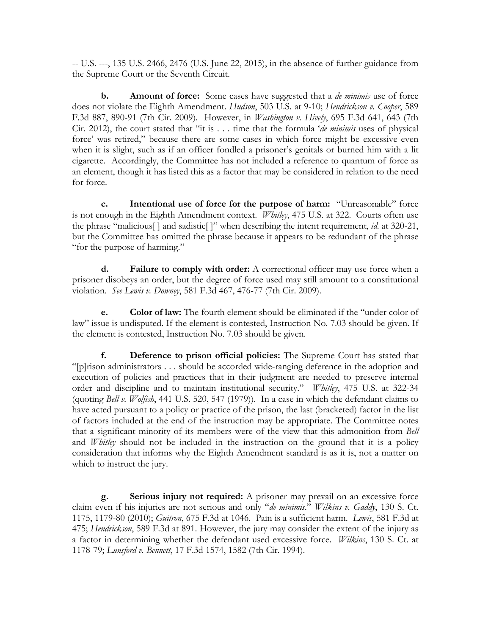-- U.S. ---, 135 U.S. 2466, 2476 (U.S. June 22, 2015), in the absence of further guidance from the Supreme Court or the Seventh Circuit.

**b. Amount of force:** Some cases have suggested that a *de minimis* use of force does not violate the Eighth Amendment. *Hudson*, 503 U.S. at 9-10; *Hendrickson v. Cooper*, 589 F.3d 887, 890-91 (7th Cir. 2009). However, in *Washington v. Hively*, 695 F.3d 641, 643 (7th Cir. 2012), the court stated that "it is . . . time that the formula '*de minimis* uses of physical force' was retired," because there are some cases in which force might be excessive even when it is slight, such as if an officer fondled a prisoner's genitals or burned him with a lit cigarette. Accordingly, the Committee has not included a reference to quantum of force as an element, though it has listed this as a factor that may be considered in relation to the need for force.

**c. Intentional use of force for the purpose of harm:** "Unreasonable" force is not enough in the Eighth Amendment context. *Whitley*, 475 U.S. at 322. Courts often use the phrase "malicious[ ] and sadistic[ ]" when describing the intent requirement, *id.* at 320-21, but the Committee has omitted the phrase because it appears to be redundant of the phrase "for the purpose of harming."

**d. Failure to comply with order:** A correctional officer may use force when a prisoner disobeys an order, but the degree of force used may still amount to a constitutional violation. *See Lewis v. Downey*, 581 F.3d 467, 476-77 (7th Cir. 2009).

**e. Color of law:** The fourth element should be eliminated if the "under color of law" issue is undisputed. If the element is contested, Instruction No. 7.03 should be given. If the element is contested, Instruction No. 7.03 should be given.

**f. Deference to prison official policies:** The Supreme Court has stated that "[p]rison administrators . . . should be accorded wide-ranging deference in the adoption and execution of policies and practices that in their judgment are needed to preserve internal order and discipline and to maintain institutional security." *Whitley*, 475 U.S. at 322-34 (quoting *Bell v. Wolfish*, 441 U.S. 520, 547 (1979)). In a case in which the defendant claims to have acted pursuant to a policy or practice of the prison, the last (bracketed) factor in the list of factors included at the end of the instruction may be appropriate. The Committee notes that a significant minority of its members were of the view that this admonition from *Bell*  and *Whitley* should not be included in the instruction on the ground that it is a policy consideration that informs why the Eighth Amendment standard is as it is, not a matter on which to instruct the jury.

**g. Serious injury not required:** A prisoner may prevail on an excessive force claim even if his injuries are not serious and only "*de minimis*." *Wilkins v. Gaddy*, 130 S. Ct. 1175, 1179-80 (2010); *Guitron*, 675 F.3d at 1046. Pain is a sufficient harm. *Lewis*, 581 F.3d at 475; *Hendrickson*, 589 F.3d at 891. However, the jury may consider the extent of the injury as a factor in determining whether the defendant used excessive force. *Wilkins*, 130 S. Ct. at 1178-79; *Lunsford v. Bennett*, 17 F.3d 1574, 1582 (7th Cir. 1994).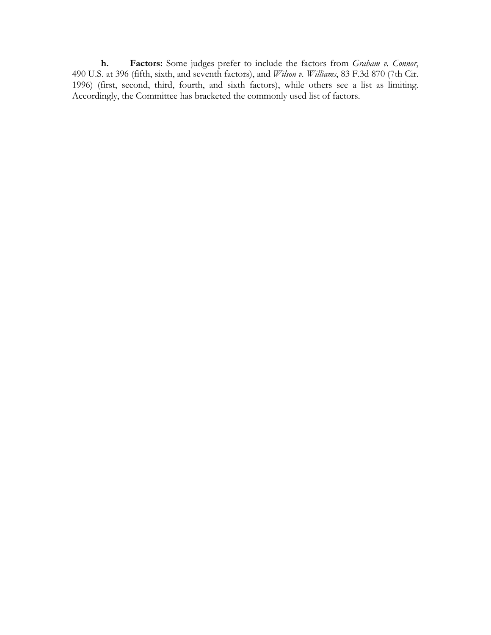**h. Factors:** Some judges prefer to include the factors from *Graham v. Connor*, 490 U.S. at 396 (fifth, sixth, and seventh factors), and *Wilson v. Williams*, 83 F.3d 870 (7th Cir. 1996) (first, second, third, fourth, and sixth factors), while others see a list as limiting. Accordingly, the Committee has bracketed the commonly used list of factors.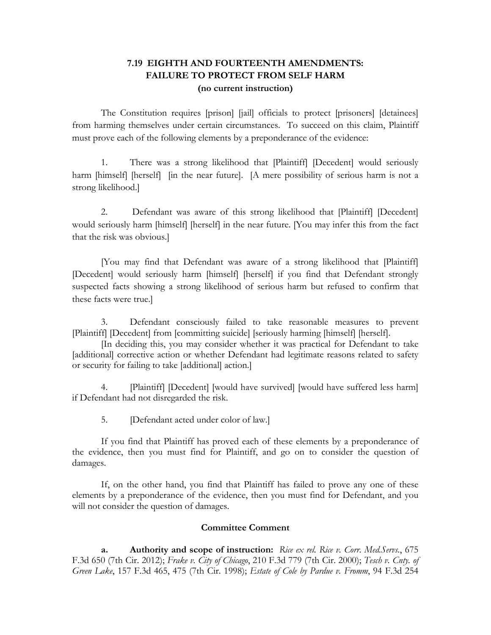# **7.19 EIGHTH AND FOURTEENTH AMENDMENTS: FAILURE TO PROTECT FROM SELF HARM (no current instruction)**

The Constitution requires [prison] [jail] officials to protect [prisoners] [detainees] from harming themselves under certain circumstances. To succeed on this claim, Plaintiff must prove each of the following elements by a preponderance of the evidence:

1. There was a strong likelihood that [Plaintiff] [Decedent] would seriously harm [himself] [herself] [in the near future]. [A mere possibility of serious harm is not a strong likelihood.]

2. Defendant was aware of this strong likelihood that [Plaintiff] [Decedent] would seriously harm [himself] [herself] in the near future. [You may infer this from the fact that the risk was obvious.]

[You may find that Defendant was aware of a strong likelihood that [Plaintiff] [Decedent] would seriously harm [himself] [herself] if you find that Defendant strongly suspected facts showing a strong likelihood of serious harm but refused to confirm that these facts were true.]

3. Defendant consciously failed to take reasonable measures to prevent [Plaintiff] [Decedent] from [committing suicide] [seriously harming [himself] [herself].

[In deciding this, you may consider whether it was practical for Defendant to take [additional] corrective action or whether Defendant had legitimate reasons related to safety or security for failing to take [additional] action.]

[Plaintiff] [Decedent] [would have survived] [would have suffered less harm] if Defendant had not disregarded the risk.

5. [Defendant acted under color of law.]

If you find that Plaintiff has proved each of these elements by a preponderance of the evidence, then you must find for Plaintiff, and go on to consider the question of damages.

If, on the other hand, you find that Plaintiff has failed to prove any one of these elements by a preponderance of the evidence, then you must find for Defendant, and you will not consider the question of damages.

### **Committee Comment**

**a. Authority and scope of instruction:** *Rice ex rel. Rice v. Corr. Med.Servs.*, 675 F.3d 650 (7th Cir. 2012); *Frake v. City of Chicago*, 210 F.3d 779 (7th Cir. 2000); *Tesch v. Cnty. of Green Lake*, 157 F.3d 465, 475 (7th Cir. 1998); *Estate of Cole by Pardue v. Fromm*, 94 F.3d 254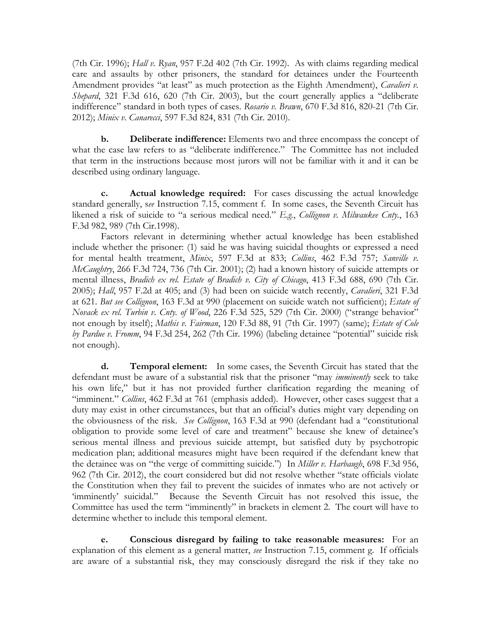(7th Cir. 1996); *Hall v. Ryan*, 957 F.2d 402 (7th Cir. 1992). As with claims regarding medical care and assaults by other prisoners, the standard for detainees under the Fourteenth Amendment provides "at least" as much protection as the Eighth Amendment), *Cavalieri v. Shepard*, 321 F.3d 616, 620 (7th Cir. 2003), but the court generally applies a "deliberate indifference" standard in both types of cases. *Rosario v. Brawn*, 670 F.3d 816, 820-21 (7th Cir. 2012); *Minix v. Canarecci*, 597 F.3d 824, 831 (7th Cir. 2010).

**b. Deliberate indifference:** Elements two and three encompass the concept of what the case law refers to as "deliberate indifference." The Committee has not included that term in the instructions because most jurors will not be familiar with it and it can be described using ordinary language.

**c. Actual knowledge required:** For cases discussing the actual knowledge standard generally, s*ee* Instruction 7.15, comment f. In some cases, the Seventh Circuit has likened a risk of suicide to "a serious medical need." *E.g.*, *Collignon v. Milwaukee Cnty.*, 163 F.3d 982, 989 (7th Cir.1998).

Factors relevant in determining whether actual knowledge has been established include whether the prisoner: (1) said he was having suicidal thoughts or expressed a need for mental health treatment, *Minix*, 597 F.3d at 833; *Collins*, 462 F.3d 757; *Sanville v. McCaughtry*, 266 F.3d 724, 736 (7th Cir. 2001); (2) had a known history of suicide attempts or mental illness, *Bradich ex rel. Estate of Bradich v. City of Chicago*, 413 F.3d 688, 690 (7th Cir. 2005); *Hall*, 957 F.2d at 405; and (3) had been on suicide watch recently, *Cavalieri*, 321 F.3d at 621. *But see Collignon*, 163 F.3d at 990 (placement on suicide watch not sufficient); *Estate of Novack ex rel. Turbin v. Cnty. of Wood*, 226 F.3d 525, 529 (7th Cir. 2000) ("strange behavior" not enough by itself); *Mathis v. Fairman*, 120 F.3d 88, 91 (7th Cir. 1997) (same); *Estate of Cole by Pardue v. Fromm*, 94 F.3d 254, 262 (7th Cir. 1996) (labeling detainee "potential" suicide risk not enough).

**d. Temporal element:** In some cases, the Seventh Circuit has stated that the defendant must be aware of a substantial risk that the prisoner "may *imminently* seek to take his own life," but it has not provided further clarification regarding the meaning of "imminent." *Collins*, 462 F.3d at 761 (emphasis added). However, other cases suggest that a duty may exist in other circumstances, but that an official's duties might vary depending on the obviousness of the risk. *See Collignon*, 163 F.3d at 990 (defendant had a "constitutional obligation to provide some level of care and treatment" because she knew of detainee's serious mental illness and previous suicide attempt, but satisfied duty by psychotropic medication plan; additional measures might have been required if the defendant knew that the detainee was on "the verge of committing suicide.") In *Miller v. Harbaugh*, 698 F.3d 956, 962 (7th Cir. 2012), the court considered but did not resolve whether "state officials violate the Constitution when they fail to prevent the suicides of inmates who are not actively or 'imminently' suicidal." Because the Seventh Circuit has not resolved this issue, the Committee has used the term "imminently" in brackets in element 2. The court will have to determine whether to include this temporal element.

**e. Conscious disregard by failing to take reasonable measures:** For an explanation of this element as a general matter, *see* Instruction 7.15, comment g. If officials are aware of a substantial risk, they may consciously disregard the risk if they take no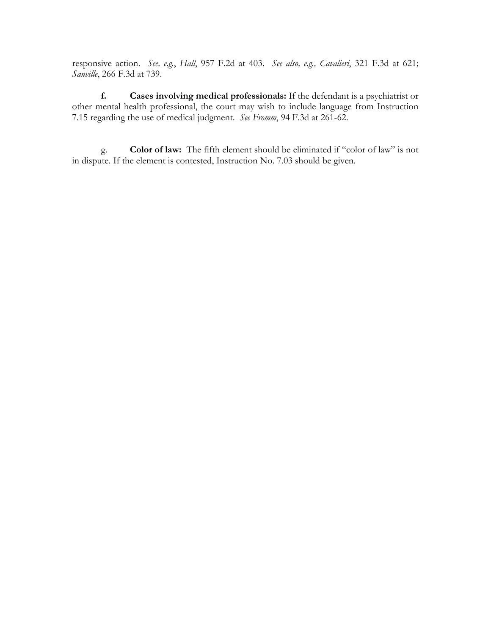responsive action. *See, e.g.*, *Hall*, 957 F.2d at 403. *See also, e.g., Cavalieri*, 321 F.3d at 621; *Sanville*, 266 F.3d at 739.

**f. Cases involving medical professionals:** If the defendant is a psychiatrist or other mental health professional, the court may wish to include language from Instruction 7.15 regarding the use of medical judgment. *See Fromm*, 94 F.3d at 261-62.

g. **Color of law:** The fifth element should be eliminated if "color of law" is not in dispute. If the element is contested, Instruction No. 7.03 should be given.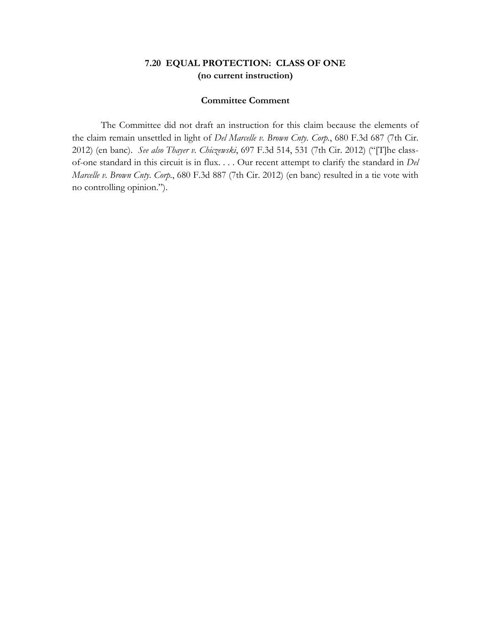## **7.20 EQUAL PROTECTION: CLASS OF ONE (no current instruction)**

#### **Committee Comment**

The Committee did not draft an instruction for this claim because the elements of the claim remain unsettled in light of *Del Marcelle v. Brown Cnty. Corp.*, 680 F.3d 687 (7th Cir. 2012) (en banc). *See also Thayer v. Chiczewski*, 697 F.3d 514, 531 (7th Cir. 2012) ("[T]he classof-one standard in this circuit is in flux. . . . Our recent attempt to clarify the standard in *Del Marcelle v. Brown Cnty. Corp.*, 680 F.3d 887 (7th Cir. 2012) (en banc) resulted in a tie vote with no controlling opinion.").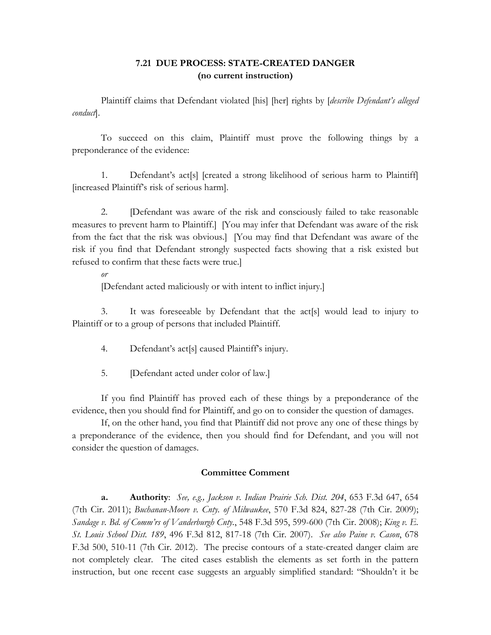# **7.21 DUE PROCESS: STATE-CREATED DANGER (no current instruction)**

Plaintiff claims that Defendant violated [his] [her] rights by [*describe Defendant's alleged conduct*].

To succeed on this claim, Plaintiff must prove the following things by a preponderance of the evidence:

1. Defendant's act[s] [created a strong likelihood of serious harm to Plaintiff] [increased Plaintiff's risk of serious harm].

2. [Defendant was aware of the risk and consciously failed to take reasonable measures to prevent harm to Plaintiff.] [You may infer that Defendant was aware of the risk from the fact that the risk was obvious.] [You may find that Defendant was aware of the risk if you find that Defendant strongly suspected facts showing that a risk existed but refused to confirm that these facts were true.]

## *or*

[Defendant acted maliciously or with intent to inflict injury.]

3. It was foreseeable by Defendant that the act[s] would lead to injury to Plaintiff or to a group of persons that included Plaintiff.

4. Defendant's act[s] caused Plaintiff's injury.

5. **IDefendant acted under color of law.**]

If you find Plaintiff has proved each of these things by a preponderance of the evidence, then you should find for Plaintiff, and go on to consider the question of damages.

If, on the other hand, you find that Plaintiff did not prove any one of these things by a preponderance of the evidence, then you should find for Defendant, and you will not consider the question of damages.

## **Committee Comment**

**a. Authority**: *See, e.g., Jackson v. Indian Prairie Sch. Dist. 204*, 653 F.3d 647, 654 (7th Cir. 2011); *Buchanan-Moore v. Cnty. of Milwaukee*, 570 F.3d 824, 827-28 (7th Cir. 2009); *Sandage v. Bd. of Comm'rs of Vanderburgh Cnty.*, 548 F.3d 595, 599-600 (7th Cir. 2008); *King v. E. St. Louis School Dist. 189*, 496 F.3d 812, 817-18 (7th Cir. 2007). *See also Paine v. Cason*, 678 F.3d 500, 510-11 (7th Cir. 2012).The precise contours of a state-created danger claim are not completely clear. The cited cases establish the elements as set forth in the pattern instruction, but one recent case suggests an arguably simplified standard: "Shouldn't it be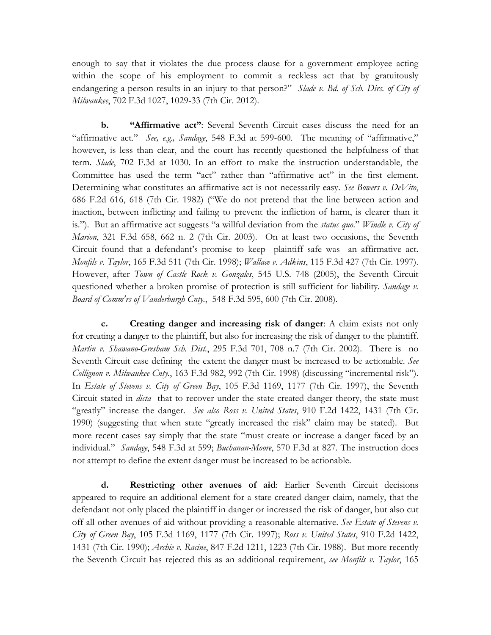enough to say that it violates the due process clause for a government employee acting within the scope of his employment to commit a reckless act that by gratuitously endangering a person results in an injury to that person?" *Slade v. Bd. of Sch. Dirs. of City of Milwaukee*, 702 F.3d 1027, 1029-33 (7th Cir. 2012).

**b. "Affirmative act"**: Several Seventh Circuit cases discuss the need for an "affirmative act." *See, e.g., Sandage*, 548 F.3d at 599-600. The meaning of "affirmative," however, is less than clear, and the court has recently questioned the helpfulness of that term. *Slade*, 702 F.3d at 1030. In an effort to make the instruction understandable, the Committee has used the term "act" rather than "affirmative act" in the first element. Determining what constitutes an affirmative act is not necessarily easy. *See Bowers v. DeVito*, 686 F.2d 616, 618 (7th Cir. 1982) ("We do not pretend that the line between action and inaction, between inflicting and failing to prevent the infliction of harm, is clearer than it is."). But an affirmative act suggests "a willful deviation from the *status quo*." *Windle v. City of Marion*, 321 F.3d 658, 662 n. 2 (7th Cir. 2003). On at least two occasions, the Seventh Circuit found that a defendant's promise to keep plaintiff safe was an affirmative act. *Monfils v. Taylor*, 165 F.3d 511 (7th Cir. 1998); *Wallace v. Adkins*, 115 F.3d 427 (7th Cir. 1997). However, after *Town of Castle Rock v. Gonzales*, 545 U.S. 748 (2005), the Seventh Circuit questioned whether a broken promise of protection is still sufficient for liability. *Sandage v. Board of Comm'rs of Vanderburgh Cnty.*, 548 F.3d 595, 600 (7th Cir. 2008).

**c. Creating danger and increasing risk of danger**: A claim exists not only for creating a danger to the plaintiff, but also for increasing the risk of danger to the plaintiff. *Martin v. Shawano-Gresham Sch. Dist.*, 295 F.3d 701, 708 n.7 (7th Cir. 2002). There is no Seventh Circuit case defining the extent the danger must be increased to be actionable. *See Collignon v. Milwaukee Cnty.*, 163 F.3d 982, 992 (7th Cir. 1998) (discussing "incremental risk"). In *Estate of Stevens v. City of Green Bay*, 105 F.3d 1169, 1177 (7th Cir. 1997), the Seventh Circuit stated in *dicta* that to recover under the state created danger theory, the state must "greatly" increase the danger. *See also Ross v. United States*, 910 F.2d 1422, 1431 (7th Cir. 1990) (suggesting that when state "greatly increased the risk" claim may be stated). But more recent cases say simply that the state "must create or increase a danger faced by an individual." *Sandage*, 548 F.3d at 599; *Buchanan-Moore*, 570 F.3d at 827. The instruction does not attempt to define the extent danger must be increased to be actionable.

**d. Restricting other avenues of aid**: Earlier Seventh Circuit decisions appeared to require an additional element for a state created danger claim, namely, that the defendant not only placed the plaintiff in danger or increased the risk of danger, but also cut off all other avenues of aid without providing a reasonable alternative. *See Estate of Stevens v. City of Green Bay*, 105 F.3d 1169, 1177 (7th Cir. 1997); *Ross v. United States*, 910 F.2d 1422, 1431 (7th Cir. 1990); *Archie v. Racine*, 847 F.2d 1211, 1223 (7th Cir. 1988). But more recently the Seventh Circuit has rejected this as an additional requirement, *see Monfils v. Taylor*, 165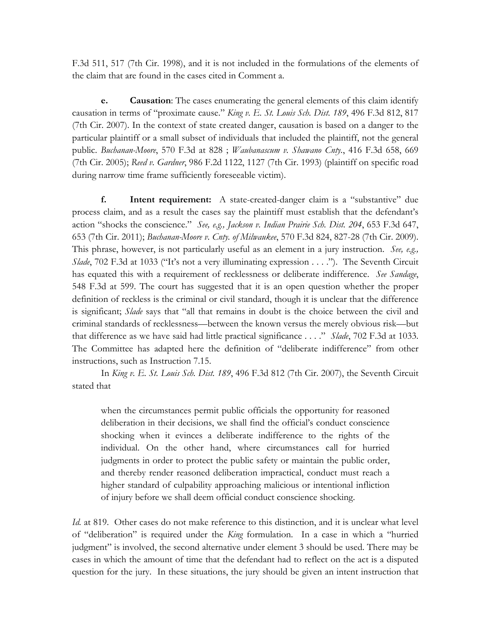F.3d 511, 517 (7th Cir. 1998), and it is not included in the formulations of the elements of the claim that are found in the cases cited in Comment a.

**e. Causation**: The cases enumerating the general elements of this claim identify causation in terms of "proximate cause." *King v. E. St. Louis Sch. Dist. 189*, 496 F.3d 812, 817 (7th Cir. 2007). In the context of state created danger, causation is based on a danger to the particular plaintiff or a small subset of individuals that included the plaintiff, not the general public. *Buchanan-Moore*, 570 F.3d at 828 ; *Waubanascum v. Shawano Cnty.*, 416 F.3d 658, 669 (7th Cir. 2005); *Reed v. Gardner*, 986 F.2d 1122, 1127 (7th Cir. 1993) (plaintiff on specific road during narrow time frame sufficiently foreseeable victim).

**f. Intent requirement:** A state-created-danger claim is a "substantive" due process claim, and as a result the cases say the plaintiff must establish that the defendant's action "shocks the conscience." *See, e.g., Jackson v. Indian Prairie Sch. Dist. 204*, 653 F.3d 647, 653 (7th Cir. 2011); *Buchanan-Moore v. Cnty. of Milwaukee*, 570 F.3d 824, 827-28 (7th Cir. 2009). This phrase, however, is not particularly useful as an element in a jury instruction. *See, e.g., Slade*, 702 F.3d at 1033 ("It's not a very illuminating expression . . . ."). The Seventh Circuit has equated this with a requirement of recklessness or deliberate indifference. *See Sandage*, 548 F.3d at 599. The court has suggested that it is an open question whether the proper definition of reckless is the criminal or civil standard, though it is unclear that the difference is significant; *Slade* says that "all that remains in doubt is the choice between the civil and criminal standards of recklessness—between the known versus the merely obvious risk—but that difference as we have said had little practical significance . . . ." *Slade*, 702 F.3d at 1033. The Committee has adapted here the definition of "deliberate indifference" from other instructions, such as Instruction 7.15.

In *King v. E. St. Louis Sch. Dist. 189*, 496 F.3d 812 (7th Cir. 2007), the Seventh Circuit stated that

when the circumstances permit public officials the opportunity for reasoned deliberation in their decisions, we shall find the official's conduct conscience shocking when it evinces a deliberate indifference to the rights of the individual. On the other hand, where circumstances call for hurried judgments in order to protect the public safety or maintain the public order, and thereby render reasoned deliberation impractical, conduct must reach a higher standard of culpability approaching malicious or intentional infliction of injury before we shall deem official conduct conscience shocking.

*Id.* at 819. Other cases do not make reference to this distinction, and it is unclear what level of "deliberation" is required under the *King* formulation. In a case in which a "hurried judgment" is involved, the second alternative under element 3 should be used. There may be cases in which the amount of time that the defendant had to reflect on the act is a disputed question for the jury. In these situations, the jury should be given an intent instruction that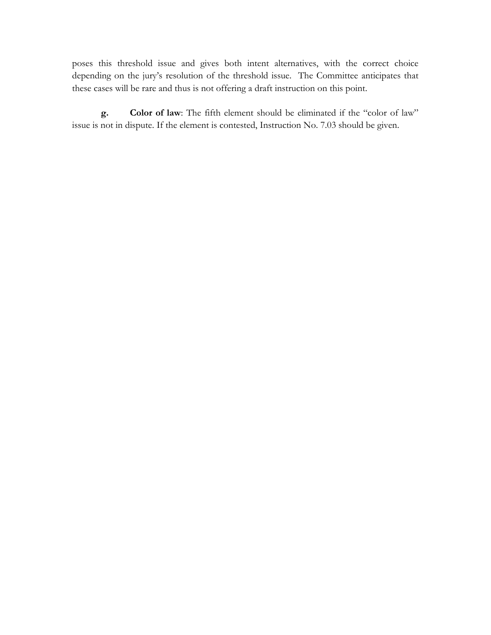poses this threshold issue and gives both intent alternatives, with the correct choice depending on the jury's resolution of the threshold issue. The Committee anticipates that these cases will be rare and thus is not offering a draft instruction on this point.

**g. Color of law**: The fifth element should be eliminated if the "color of law" issue is not in dispute. If the element is contested, Instruction No. 7.03 should be given.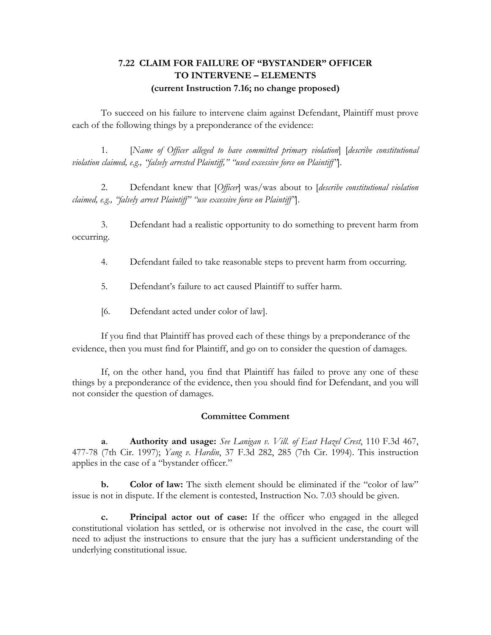# **7.22 CLAIM FOR FAILURE OF "BYSTANDER" OFFICER TO INTERVENE – ELEMENTS (current Instruction 7.16; no change proposed)**

To succeed on his failure to intervene claim against Defendant, Plaintiff must prove each of the following things by a preponderance of the evidence:

1. [*Name of Officer alleged to have committed primary violation*] [*describe constitutional violation claimed, e.g., "falsely arrested Plaintiff," "used excessive force on Plaintiff"*].

2. Defendant knew that [*Officer*] was/was about to [*describe constitutional violation claimed, e.g., "falsely arrest Plaintiff" "use excessive force on Plaintiff"*].

3. Defendant had a realistic opportunity to do something to prevent harm from occurring.

4. Defendant failed to take reasonable steps to prevent harm from occurring.

5. Defendant's failure to act caused Plaintiff to suffer harm.

[6. Defendant acted under color of law].

If you find that Plaintiff has proved each of these things by a preponderance of the evidence, then you must find for Plaintiff, and go on to consider the question of damages.

If, on the other hand, you find that Plaintiff has failed to prove any one of these things by a preponderance of the evidence, then you should find for Defendant, and you will not consider the question of damages.

## **Committee Comment**

**a**. **Authority and usage:** *See Lanigan v. Vill. of East Hazel Crest*, 110 F.3d 467, 477-78 (7th Cir. 1997); *Yang v. Hardin*, 37 F.3d 282, 285 (7th Cir. 1994). This instruction applies in the case of a "bystander officer."

**b. Color of law:** The sixth element should be eliminated if the "color of law" issue is not in dispute. If the element is contested, Instruction No. 7.03 should be given.

**c. Principal actor out of case:** If the officer who engaged in the alleged constitutional violation has settled, or is otherwise not involved in the case, the court will need to adjust the instructions to ensure that the jury has a sufficient understanding of the underlying constitutional issue.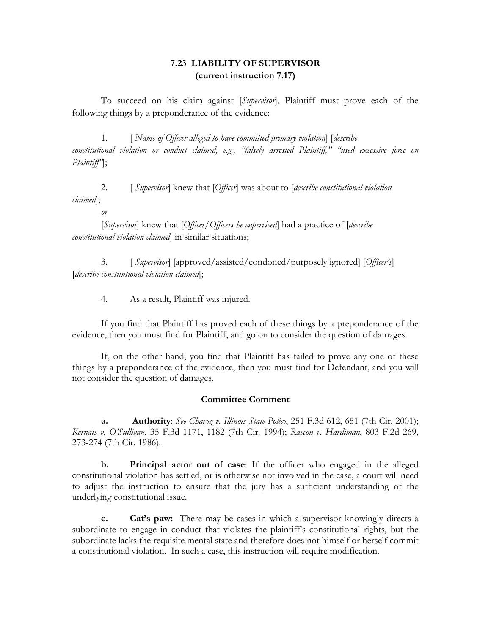## **7.23 LIABILITY OF SUPERVISOR (current instruction 7.17)**

To succeed on his claim against [*Supervisor*], Plaintiff must prove each of the following things by a preponderance of the evidence:

1. [ *Name of Officer alleged to have committed primary violation*] [*describe constitutional violation or conduct claimed, e.g., "falsely arrested Plaintiff," "used excessive force on Plaintiff"*];

2. [ *Supervisor*] knew that [*Officer*] was about to [*describe constitutional violation claimed*];

*or*

[*Supervisor*] knew that [*Officer/Officers he supervised*] had a practice of [*describe constitutional violation claimed*] in similar situations;

3. [ *Supervisor*] [approved/assisted/condoned/purposely ignored] [*Officer's*] [*describe constitutional violation claimed*];

4. As a result, Plaintiff was injured.

If you find that Plaintiff has proved each of these things by a preponderance of the evidence, then you must find for Plaintiff, and go on to consider the question of damages.

If, on the other hand, you find that Plaintiff has failed to prove any one of these things by a preponderance of the evidence, then you must find for Defendant, and you will not consider the question of damages.

## **Committee Comment**

**a. Authority**: *See Chavez v. Illinois State Police*, 251 F.3d 612, 651 (7th Cir. 2001); *Kernats v. O'Sullivan*, 35 F.3d 1171, 1182 (7th Cir. 1994); *Rascon v. Hardiman*, 803 F.2d 269, 273-274 (7th Cir. 1986).

**b. Principal actor out of case**: If the officer who engaged in the alleged constitutional violation has settled, or is otherwise not involved in the case, a court will need to adjust the instruction to ensure that the jury has a sufficient understanding of the underlying constitutional issue.

**c. Cat's paw:** There may be cases in which a supervisor knowingly directs a subordinate to engage in conduct that violates the plaintiff's constitutional rights, but the subordinate lacks the requisite mental state and therefore does not himself or herself commit a constitutional violation. In such a case, this instruction will require modification.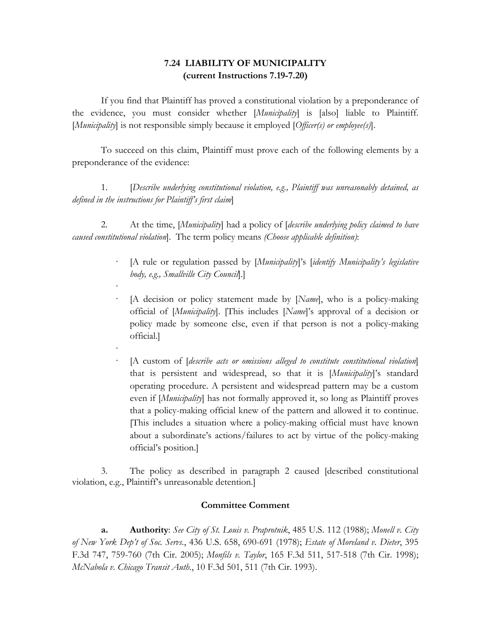## **7.24 LIABILITY OF MUNICIPALITY (current Instructions 7.19-7.20)**

If you find that Plaintiff has proved a constitutional violation by a preponderance of the evidence, you must consider whether [*Municipality*] is [also] liable to Plaintiff. [*Municipality*] is not responsible simply because it employed [*Officer(s) or employee(s)*].

To succeed on this claim, Plaintiff must prove each of the following elements by a preponderance of the evidence:

1. [*Describe underlying constitutional violation, e.g., Plaintiff was unreasonably detained, as defined in the instructions for Plaintiff's first claim*]

2. At the time, [*Municipality*] had a policy of [*describe underlying policy claimed to have caused constitutional violation*]. The term policy means *(Choose applicable definition)*:

·

·

- · [A rule or regulation passed by [*Municipality*]'s [*identify Municipality's legislative body, e.g., Smallville City Council*].]
- · [A decision or policy statement made by [*Name*], who is a policy-making official of [*Municipality*]. [This includes [*Name*]'s approval of a decision or policy made by someone else, even if that person is not a policy-making official.]
- [A custom of *[describe acts or omissions alleged to constitute constitutional violation*] that is persistent and widespread, so that it is [*Municipality*]'s standard operating procedure. A persistent and widespread pattern may be a custom even if [*Municipality*] has not formally approved it, so long as Plaintiff proves that a policy-making official knew of the pattern and allowed it to continue. [This includes a situation where a policy-making official must have known about a subordinate's actions/failures to act by virtue of the policy-making official's position.]

3. The policy as described in paragraph 2 caused [described constitutional violation, e.g., Plaintiff's unreasonable detention.]

## **Committee Comment**

**a. Authority**: *See City of St. Louis v. Praprotnik*, 485 U.S. 112 (1988); *Monell v. City of New York Dep't of Soc. Servs.*, 436 U.S. 658, 690-691 (1978); *Estate of Moreland v. Dieter*, 395 F.3d 747, 759-760 (7th Cir. 2005); *Monfils v. Taylor*, 165 F.3d 511, 517-518 (7th Cir. 1998); *McNabola v. Chicago Transit Auth.*, 10 F.3d 501, 511 (7th Cir. 1993).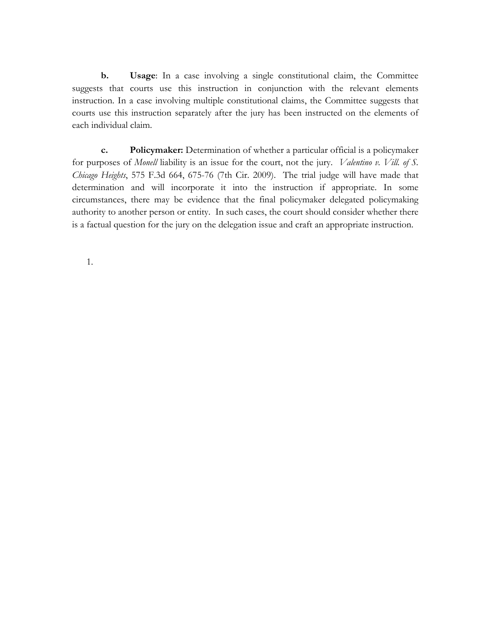**b. Usage**: In a case involving a single constitutional claim, the Committee suggests that courts use this instruction in conjunction with the relevant elements instruction. In a case involving multiple constitutional claims, the Committee suggests that courts use this instruction separately after the jury has been instructed on the elements of each individual claim.

**c. Policymaker:** Determination of whether a particular official is a policymaker for purposes of *Monell* liability is an issue for the court, not the jury. *Valentino v. Vill. of S. Chicago Heights*, 575 F.3d 664, 675-76 (7th Cir. 2009). The trial judge will have made that determination and will incorporate it into the instruction if appropriate. In some circumstances, there may be evidence that the final policymaker delegated policymaking authority to another person or entity. In such cases, the court should consider whether there is a factual question for the jury on the delegation issue and craft an appropriate instruction.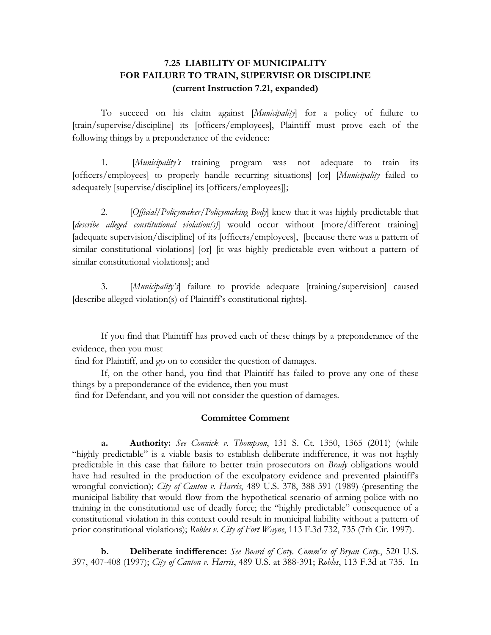# **7.25 LIABILITY OF MUNICIPALITY FOR FAILURE TO TRAIN, SUPERVISE OR DISCIPLINE (current Instruction 7.21, expanded)**

To succeed on his claim against [*Municipality*] for a policy of failure to [train/supervise/discipline] its [officers/employees], Plaintiff must prove each of the following things by a preponderance of the evidence:

1. [*Municipality's* training program was not adequate to train its [officers/employees] to properly handle recurring situations] [or] [*Municipality* failed to adequately [supervise/discipline] its [officers/employees]];

2. [*Official/Policymaker/Policymaking Body*] knew that it was highly predictable that [describe alleged constitutional violation(s)] would occur without [more/different training] [adequate supervision/discipline] of its [officers/employees], [because there was a pattern of similar constitutional violations] [or] [it was highly predictable even without a pattern of similar constitutional violations]; and

3. [*Municipality's*] failure to provide adequate [training/supervision] caused [describe alleged violation(s) of Plaintiff's constitutional rights].

If you find that Plaintiff has proved each of these things by a preponderance of the evidence, then you must

find for Plaintiff, and go on to consider the question of damages.

If, on the other hand, you find that Plaintiff has failed to prove any one of these things by a preponderance of the evidence, then you must

find for Defendant, and you will not consider the question of damages.

#### **Committee Comment**

**a. Authority:** *See Connick v. Thompson*, 131 S. Ct. 1350, 1365 (2011) (while "highly predictable" is a viable basis to establish deliberate indifference, it was not highly predictable in this case that failure to better train prosecutors on *Brady* obligations would have had resulted in the production of the exculpatory evidence and prevented plaintiff's wrongful conviction); *City of Canton v. Harris*, 489 U.S. 378, 388-391 (1989) (presenting the municipal liability that would flow from the hypothetical scenario of arming police with no training in the constitutional use of deadly force; the "highly predictable" consequence of a constitutional violation in this context could result in municipal liability without a pattern of prior constitutional violations); *Robles v. City of Fort Wayne*, 113 F.3d 732, 735 (7th Cir. 1997).

**b. Deliberate indifference:** *See Board of Cnty. Comm'rs of Bryan Cnty.*, 520 U.S. 397, 407-408 (1997); *City of Canton v. Harris*, 489 U.S. at 388-391; *Robles*, 113 F.3d at 735. In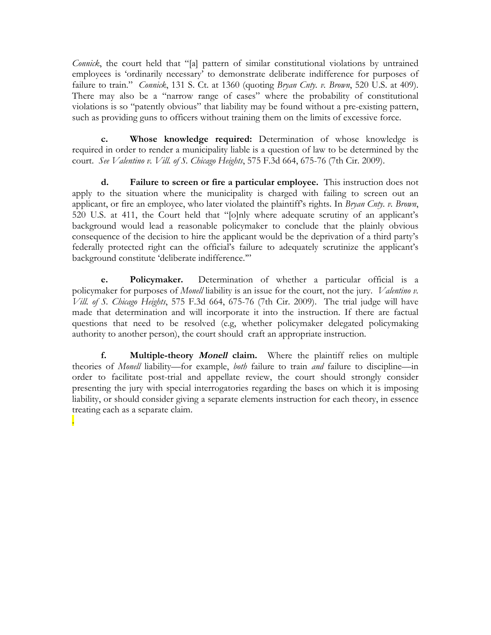*Connick*, the court held that "[a] pattern of similar constitutional violations by untrained employees is 'ordinarily necessary' to demonstrate deliberate indifference for purposes of failure to train." *Connick*, 131 S. Ct. at 1360 (quoting *Bryan Cnty. v. Brown*, 520 U.S. at 409). There may also be a "narrow range of cases" where the probability of constitutional violations is so "patently obvious" that liability may be found without a pre-existing pattern, such as providing guns to officers without training them on the limits of excessive force.

**c. Whose knowledge required:** Determination of whose knowledge is required in order to render a municipality liable is a question of law to be determined by the court. *See Valentino v. Vill. of S. Chicago Heights*, 575 F.3d 664, 675-76 (7th Cir. 2009).

**d. Failure to screen or fire a particular employee.** This instruction does not apply to the situation where the municipality is charged with failing to screen out an applicant, or fire an employee, who later violated the plaintiff's rights. In *Bryan Cnty. v. Brown*, 520 U.S. at 411, the Court held that "[o]nly where adequate scrutiny of an applicant's background would lead a reasonable policymaker to conclude that the plainly obvious consequence of the decision to hire the applicant would be the deprivation of a third party's federally protected right can the official's failure to adequately scrutinize the applicant's background constitute 'deliberate indifference.'"

**e. Policymaker.** Determination of whether a particular official is a policymaker for purposes of *Monell* liability is an issue for the court, not the jury. *Valentino v. Vill. of S. Chicago Heights*, 575 F.3d 664, 675-76 (7th Cir. 2009). The trial judge will have made that determination and will incorporate it into the instruction. If there are factual questions that need to be resolved (e.g, whether policymaker delegated policymaking authority to another person), the court should craft an appropriate instruction.

**f. Multiple-theory Monell claim.** Where the plaintiff relies on multiple theories of *Monell* liability—for example, *both* failure to train *and* failure to discipline—in order to facilitate post-trial and appellate review, the court should strongly consider presenting the jury with special interrogatories regarding the bases on which it is imposing liability, or should consider giving a separate elements instruction for each theory, in essence treating each as a separate claim.

.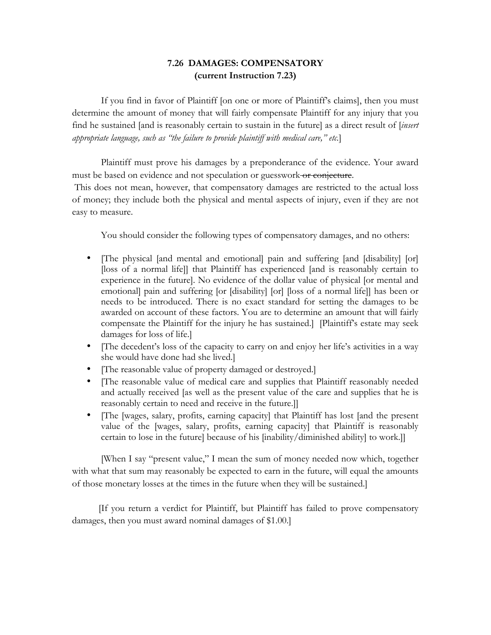# **7.26 DAMAGES: COMPENSATORY (current Instruction 7.23)**

If you find in favor of Plaintiff [on one or more of Plaintiff's claims], then you must determine the amount of money that will fairly compensate Plaintiff for any injury that you find he sustained [and is reasonably certain to sustain in the future] as a direct result of [*insert appropriate language, such as "the failure to provide plaintiff with medical care," etc.*]

Plaintiff must prove his damages by a preponderance of the evidence. Your award must be based on evidence and not speculation or guesswork or conjecture.

This does not mean, however, that compensatory damages are restricted to the actual loss of money; they include both the physical and mental aspects of injury, even if they are not easy to measure.

You should consider the following types of compensatory damages, and no others:

- [The physical [and mental and emotional] pain and suffering [and [disability] [or] [loss of a normal life]] that Plaintiff has experienced [and is reasonably certain to experience in the future]. No evidence of the dollar value of physical [or mental and emotional] pain and suffering [or [disability] [or] [loss of a normal life]] has been or needs to be introduced. There is no exact standard for setting the damages to be awarded on account of these factors. You are to determine an amount that will fairly compensate the Plaintiff for the injury he has sustained.] [Plaintiff's estate may seek damages for loss of life.]
- [The decedent's loss of the capacity to carry on and enjoy her life's activities in a way she would have done had she lived.]
- [The reasonable value of property damaged or destroyed.]
- [The reasonable value of medical care and supplies that Plaintiff reasonably needed and actually received [as well as the present value of the care and supplies that he is reasonably certain to need and receive in the future.]]
- [The [wages, salary, profits, earning capacity] that Plaintiff has lost [and the present value of the [wages, salary, profits, earning capacity] that Plaintiff is reasonably certain to lose in the future] because of his [inability/diminished ability] to work.]]

[When I say "present value," I mean the sum of money needed now which, together with what that sum may reasonably be expected to earn in the future, will equal the amounts of those monetary losses at the times in the future when they will be sustained.]

 [If you return a verdict for Plaintiff, but Plaintiff has failed to prove compensatory damages, then you must award nominal damages of \$1.00.]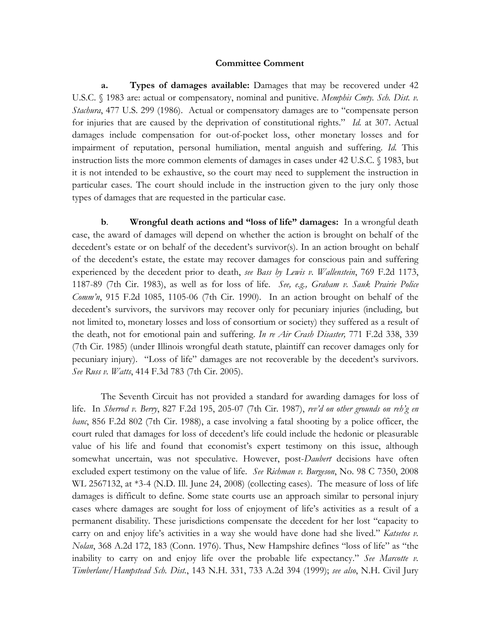#### **Committee Comment**

**a. Types of damages available:** Damages that may be recovered under 42 U.S.C. § 1983 are: actual or compensatory, nominal and punitive. *Memphis Cmty. Sch. Dist. v. Stachura*, 477 U.S. 299 (1986). Actual or compensatory damages are to "compensate person for injuries that are caused by the deprivation of constitutional rights." *Id.* at 307. Actual damages include compensation for out-of-pocket loss, other monetary losses and for impairment of reputation, personal humiliation, mental anguish and suffering. *Id.* This instruction lists the more common elements of damages in cases under 42 U.S.C. § 1983, but it is not intended to be exhaustive, so the court may need to supplement the instruction in particular cases. The court should include in the instruction given to the jury only those types of damages that are requested in the particular case.

**b**. **Wrongful death actions and "loss of life" damages:** In a wrongful death case, the award of damages will depend on whether the action is brought on behalf of the decedent's estate or on behalf of the decedent's survivor(s). In an action brought on behalf of the decedent's estate, the estate may recover damages for conscious pain and suffering experienced by the decedent prior to death, *see Bass by Lewis v. Wallenstein*, 769 F.2d 1173, 1187-89 (7th Cir. 1983), as well as for loss of life. *See, e.g., Graham v. Sauk Prairie Police Comm'n*, 915 F.2d 1085, 1105-06 (7th Cir. 1990). In an action brought on behalf of the decedent's survivors, the survivors may recover only for pecuniary injuries (including, but not limited to, monetary losses and loss of consortium or society) they suffered as a result of the death, not for emotional pain and suffering. *In re Air Crash Disaster,* 771 F.2d 338, 339 (7th Cir. 1985) (under Illinois wrongful death statute, plaintiff can recover damages only for pecuniary injury). "Loss of life" damages are not recoverable by the decedent's survivors. *See Russ v. Watts*, 414 F.3d 783 (7th Cir. 2005).

The Seventh Circuit has not provided a standard for awarding damages for loss of life. In *Sherrod v. Berry*, 827 F.2d 195, 205-07 (7th Cir. 1987), *rev'd on other grounds on reh'g en banc*, 856 F.2d 802 (7th Cir. 1988), a case involving a fatal shooting by a police officer, the court ruled that damages for loss of decedent's life could include the hedonic or pleasurable value of his life and found that economist's expert testimony on this issue, although somewhat uncertain, was not speculative. However, post-*Daubert* decisions have often excluded expert testimony on the value of life. *See Richman v. Burgeson*, No. 98 C 7350, 2008 WL 2567132, at \*3-4 (N.D. Ill. June 24, 2008) (collecting cases). The measure of loss of life damages is difficult to define. Some state courts use an approach similar to personal injury cases where damages are sought for loss of enjoyment of life's activities as a result of a permanent disability. These jurisdictions compensate the decedent for her lost "capacity to carry on and enjoy life's activities in a way she would have done had she lived." *Katsetos v. Nolan*, 368 A.2d 172, 183 (Conn. 1976). Thus, New Hampshire defines "loss of life" as "the inability to carry on and enjoy life over the probable life expectancy." *See Marcotte v. Timberlane/Hampstead Sch. Dist.*, 143 N.H. 331, 733 A.2d 394 (1999); *see also*, N.H. Civil Jury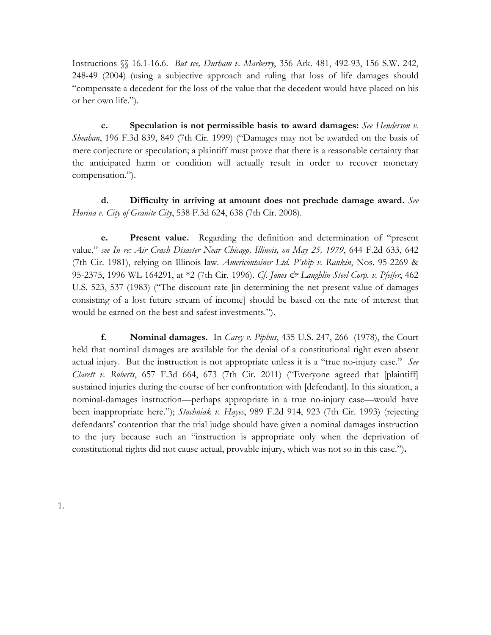Instructions §§ 16.1-16.6. *But see, Durham v. Marberry*, 356 Ark. 481, 492-93, 156 S.W. 242, 248-49 (2004) (using a subjective approach and ruling that loss of life damages should "compensate a decedent for the loss of the value that the decedent would have placed on his or her own life.").

**c. Speculation is not permissible basis to award damages:** *See Henderson v. Sheahan*, 196 F.3d 839, 849 (7th Cir. 1999) ("Damages may not be awarded on the basis of mere conjecture or speculation; a plaintiff must prove that there is a reasonable certainty that the anticipated harm or condition will actually result in order to recover monetary compensation.").

**d. Difficulty in arriving at amount does not preclude damage award.** *See Horina v. City of Granite City*, 538 F.3d 624, 638 (7th Cir. 2008).

**e. Present value.** Regarding the definition and determination of "present value," *see In re: Air Crash Disaster Near Chicago, Illinois, on May 25, 1979*, 644 F.2d 633, 642 (7th Cir. 1981), relying on Illinois law. *Americontainer Ltd. P'ship v. Rankin*, Nos. 95-2269 & 95-2375, 1996 WL 164291, at \*2 (7th Cir. 1996). *Cf*. *Jones & Laughlin Steel Corp. v. Pfeifer*, 462 U.S. 523, 537 (1983) ("The discount rate [in determining the net present value of damages consisting of a lost future stream of income] should be based on the rate of interest that would be earned on the best and safest investments.").

**f. Nominal damages.** In *Carey v. Piphus*, 435 U.S. 247, 266 (1978), the Court held that nominal damages are available for the denial of a constitutional right even absent actual injury. But the in**s**truction is not appropriate unless it is a "true no-injury case." *See Clarett v. Roberts*, 657 F.3d 664, 673 (7th Cir. 2011) ("Everyone agreed that [plaintiff] sustained injuries during the course of her confrontation with [defendant]. In this situation, a nominal-damages instruction—perhaps appropriate in a true no-injury case—would have been inappropriate here."); *Stachniak v. Hayes*, 989 F.2d 914, 923 (7th Cir. 1993) (rejecting defendants' contention that the trial judge should have given a nominal damages instruction to the jury because such an "instruction is appropriate only when the deprivation of constitutional rights did not cause actual, provable injury, which was not so in this case.")**.**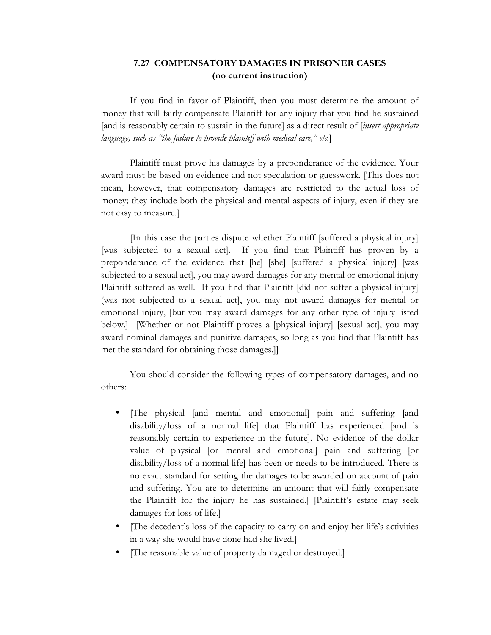## **7.27 COMPENSATORY DAMAGES IN PRISONER CASES (no current instruction)**

If you find in favor of Plaintiff, then you must determine the amount of money that will fairly compensate Plaintiff for any injury that you find he sustained [and is reasonably certain to sustain in the future] as a direct result of [*insert appropriate language, such as "the failure to provide plaintiff with medical care," etc.*]

Plaintiff must prove his damages by a preponderance of the evidence. Your award must be based on evidence and not speculation or guesswork. [This does not mean, however, that compensatory damages are restricted to the actual loss of money; they include both the physical and mental aspects of injury, even if they are not easy to measure.]

[In this case the parties dispute whether Plaintiff [suffered a physical injury] [was subjected to a sexual act]. If you find that Plaintiff has proven by a preponderance of the evidence that [he] [she] [suffered a physical injury] [was subjected to a sexual act], you may award damages for any mental or emotional injury Plaintiff suffered as well. If you find that Plaintiff [did not suffer a physical injury] (was not subjected to a sexual act], you may not award damages for mental or emotional injury, [but you may award damages for any other type of injury listed below.] [Whether or not Plaintiff proves a [physical injury] [sexual act], you may award nominal damages and punitive damages, so long as you find that Plaintiff has met the standard for obtaining those damages.]]

You should consider the following types of compensatory damages, and no others:

- [The physical [and mental and emotional] pain and suffering [and disability/loss of a normal life] that Plaintiff has experienced [and is reasonably certain to experience in the future]. No evidence of the dollar value of physical [or mental and emotional] pain and suffering [or disability/loss of a normal life] has been or needs to be introduced. There is no exact standard for setting the damages to be awarded on account of pain and suffering. You are to determine an amount that will fairly compensate the Plaintiff for the injury he has sustained.] [Plaintiff's estate may seek damages for loss of life.]
- [The decedent's loss of the capacity to carry on and enjoy her life's activities in a way she would have done had she lived.]
- [The reasonable value of property damaged or destroyed.]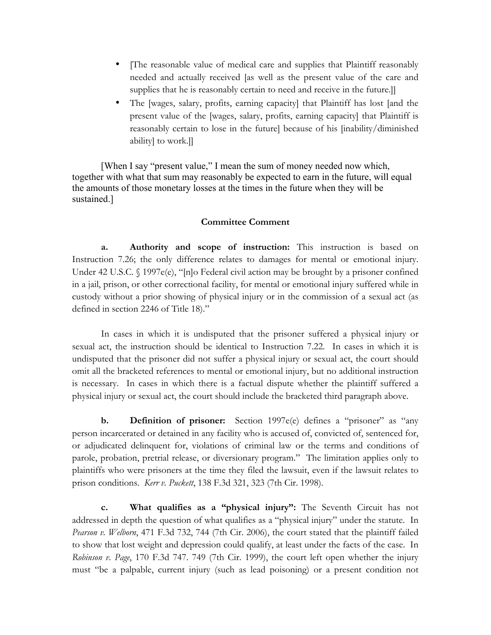- The reasonable value of medical care and supplies that Plaintiff reasonably needed and actually received [as well as the present value of the care and supplies that he is reasonably certain to need and receive in the future.]
- The [wages, salary, profits, earning capacity] that Plaintiff has lost [and the present value of the [wages, salary, profits, earning capacity] that Plaintiff is reasonably certain to lose in the future] because of his [inability/diminished ability] to work.]]

[When I say "present value," I mean the sum of money needed now which, together with what that sum may reasonably be expected to earn in the future, will equal the amounts of those monetary losses at the times in the future when they will be sustained.]

#### **Committee Comment**

**a. Authority and scope of instruction:** This instruction is based on Instruction 7.26; the only difference relates to damages for mental or emotional injury. Under 42 U.S.C. § 1997e(e), "[n]o Federal civil action may be brought by a prisoner confined in a jail, prison, or other correctional facility, for mental or emotional injury suffered while in custody without a prior showing of physical injury or in the commission of a sexual act (as defined in section 2246 of Title 18)."

In cases in which it is undisputed that the prisoner suffered a physical injury or sexual act, the instruction should be identical to Instruction 7.22. In cases in which it is undisputed that the prisoner did not suffer a physical injury or sexual act, the court should omit all the bracketed references to mental or emotional injury, but no additional instruction is necessary. In cases in which there is a factual dispute whether the plaintiff suffered a physical injury or sexual act, the court should include the bracketed third paragraph above.

**b. Definition of prisoner:** Section 1997e(e) defines a "prisoner" as "any person incarcerated or detained in any facility who is accused of, convicted of, sentenced for, or adjudicated delinquent for, violations of criminal law or the terms and conditions of parole, probation, pretrial release, or diversionary program." The limitation applies only to plaintiffs who were prisoners at the time they filed the lawsuit, even if the lawsuit relates to prison conditions. *Kerr v. Puckett*, 138 F.3d 321, 323 (7th Cir. 1998).

**c. What qualifies as a "physical injury":** The Seventh Circuit has not addressed in depth the question of what qualifies as a "physical injury" under the statute. In *Pearson v. Welborn*, 471 F.3d 732, 744 (7th Cir. 2006), the court stated that the plaintiff failed to show that lost weight and depression could qualify, at least under the facts of the case. In *Robinson v. Page*, 170 F.3d 747. 749 (7th Cir. 1999), the court left open whether the injury must "be a palpable, current injury (such as lead poisoning) or a present condition not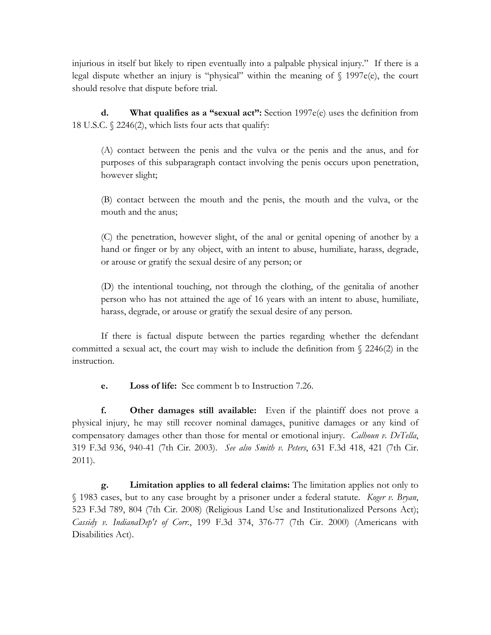injurious in itself but likely to ripen eventually into a palpable physical injury." If there is a legal dispute whether an injury is "physical" within the meaning of  $\int$  1997e(e), the court should resolve that dispute before trial.

**d. What qualifies as a "sexual act":** Section 1997e(e) uses the definition from 18 U.S.C. § 2246(2), which lists four acts that qualify:

(A) contact between the penis and the vulva or the penis and the anus, and for purposes of this subparagraph contact involving the penis occurs upon penetration, however slight;

(B) contact between the mouth and the penis, the mouth and the vulva, or the mouth and the anus;

(C) the penetration, however slight, of the anal or genital opening of another by a hand or finger or by any object, with an intent to abuse, humiliate, harass, degrade, or arouse or gratify the sexual desire of any person; or

(D) the intentional touching, not through the clothing, of the genitalia of another person who has not attained the age of 16 years with an intent to abuse, humiliate, harass, degrade, or arouse or gratify the sexual desire of any person.

If there is factual dispute between the parties regarding whether the defendant committed a sexual act, the court may wish to include the definition from § 2246(2) in the instruction.

**e. Loss of life:** See comment b to Instruction 7.26.

**f. Other damages still available:** Even if the plaintiff does not prove a physical injury, he may still recover nominal damages, punitive damages or any kind of compensatory damages other than those for mental or emotional injury. *Calhoun v. DeTella*, 319 F.3d 936, 940-41 (7th Cir. 2003). *See also Smith v. Peters*, 631 F.3d 418, 421 (7th Cir. 2011).

**g. Limitation applies to all federal claims:** The limitation applies not only to § 1983 cases, but to any case brought by a prisoner under a federal statute. *Koger v. Bryan*, 523 F.3d 789, 804 (7th Cir. 2008) (Religious Land Use and Institutionalized Persons Act); *Cassidy v. IndianaDep't of Corr.*, 199 F.3d 374, 376-77 (7th Cir. 2000) (Americans with Disabilities Act).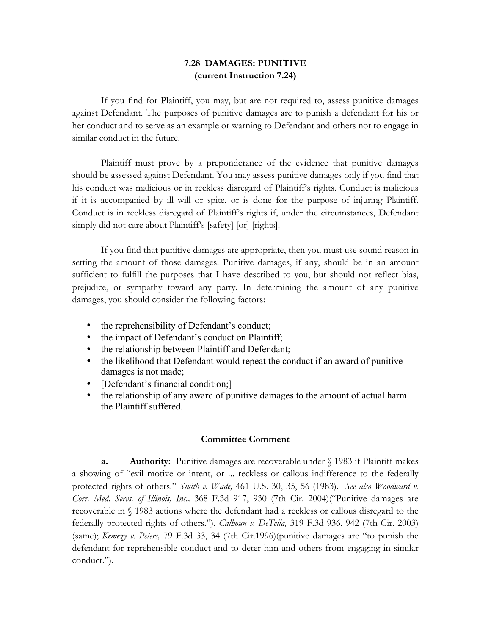# **7.28 DAMAGES: PUNITIVE (current Instruction 7.24)**

If you find for Plaintiff, you may, but are not required to, assess punitive damages against Defendant. The purposes of punitive damages are to punish a defendant for his or her conduct and to serve as an example or warning to Defendant and others not to engage in similar conduct in the future.

Plaintiff must prove by a preponderance of the evidence that punitive damages should be assessed against Defendant. You may assess punitive damages only if you find that his conduct was malicious or in reckless disregard of Plaintiff's rights. Conduct is malicious if it is accompanied by ill will or spite, or is done for the purpose of injuring Plaintiff. Conduct is in reckless disregard of Plaintiff's rights if, under the circumstances, Defendant simply did not care about Plaintiff's [safety] [or] [rights].

If you find that punitive damages are appropriate, then you must use sound reason in setting the amount of those damages. Punitive damages, if any, should be in an amount sufficient to fulfill the purposes that I have described to you, but should not reflect bias, prejudice, or sympathy toward any party. In determining the amount of any punitive damages, you should consider the following factors:

- the reprehensibility of Defendant's conduct;
- the impact of Defendant's conduct on Plaintiff;
- the relationship between Plaintiff and Defendant;
- the likelihood that Defendant would repeat the conduct if an award of punitive damages is not made;
- [Defendant's financial condition;]
- the relationship of any award of punitive damages to the amount of actual harm the Plaintiff suffered.

## **Committee Comment**

**a. Authority:** Punitive damages are recoverable under § 1983 if Plaintiff makes a showing of "evil motive or intent, or ... reckless or callous indifference to the federally protected rights of others." *Smith v. Wade,* 461 U.S. 30, 35, 56 (1983). *See also Woodward v. Corr. Med. Servs. of Illinois, Inc.,* 368 F.3d 917, 930 (7th Cir. 2004)("Punitive damages are recoverable in § 1983 actions where the defendant had a reckless or callous disregard to the federally protected rights of others."). *Calhoun v. DeTella,* 319 F.3d 936, 942 (7th Cir. 2003) (same); *Kemezy v. Peters,* 79 F.3d 33, 34 (7th Cir.1996)(punitive damages are "to punish the defendant for reprehensible conduct and to deter him and others from engaging in similar conduct.").